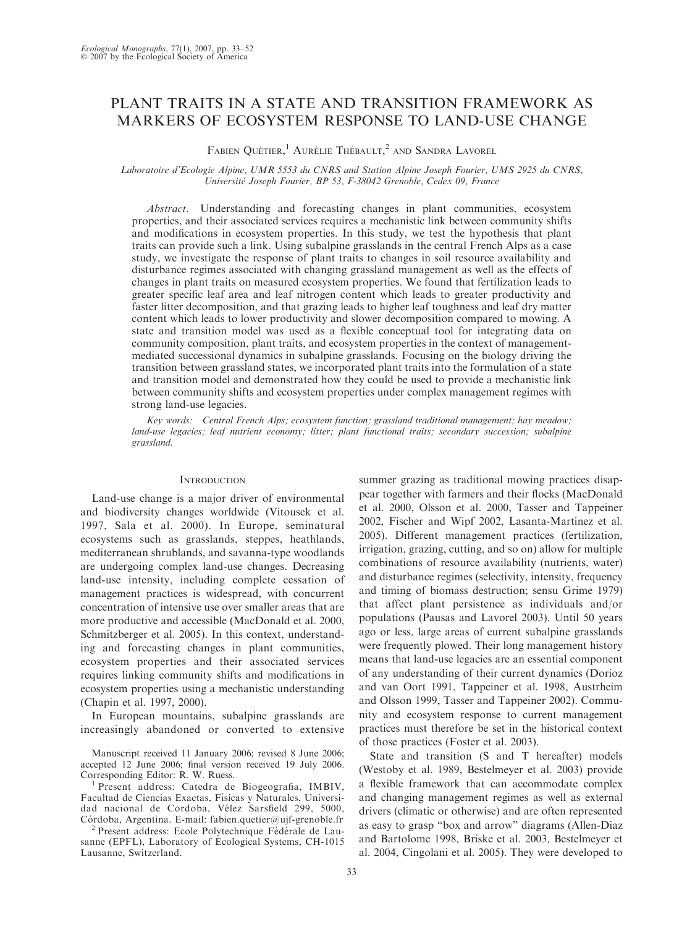# PLANT TRAITS IN A STATE AND TRANSITION FRAMEWORK AS MARKERS OF ECOSYSTEM RESPONSE TO LAND-USE CHANGE

FABIEN QUÉTIER,<sup>1</sup> AURÉLIE THÉBAULT,<sup>2</sup> AND SANDRA LAVOREL

### Laboratoire d'Ecologie Alpine, UMR 5553 du CNRS and Station Alpine Joseph Fourier, UMS 2925 du CNRS, Université Joseph Fourier, BP 53, F-38042 Grenoble, Cedex 09, France

Abstract. Understanding and forecasting changes in plant communities, ecosystem properties, and their associated services requires a mechanistic link between community shifts and modifications in ecosystem properties. In this study, we test the hypothesis that plant traits can provide such a link. Using subalpine grasslands in the central French Alps as a case study, we investigate the response of plant traits to changes in soil resource availability and disturbance regimes associated with changing grassland management as well as the effects of changes in plant traits on measured ecosystem properties. We found that fertilization leads to greater specific leaf area and leaf nitrogen content which leads to greater productivity and faster litter decomposition, and that grazing leads to higher leaf toughness and leaf dry matter content which leads to lower productivity and slower decomposition compared to mowing. A state and transition model was used as a flexible conceptual tool for integrating data on community composition, plant traits, and ecosystem properties in the context of managementmediated successional dynamics in subalpine grasslands. Focusing on the biology driving the transition between grassland states, we incorporated plant traits into the formulation of a state and transition model and demonstrated how they could be used to provide a mechanistic link between community shifts and ecosystem properties under complex management regimes with strong land-use legacies.

Key words: Central French Alps; ecosystem function; grassland traditional management; hay meadow; land-use legacies; leaf nutrient economy; litter; plant functional traits; secondary succession; subalpine grassland.

### **INTRODUCTION**

Land-use change is a major driver of environmental and biodiversity changes worldwide (Vitousek et al. 1997, Sala et al. 2000). In Europe, seminatural ecosystems such as grasslands, steppes, heathlands, mediterranean shrublands, and savanna-type woodlands are undergoing complex land-use changes. Decreasing land-use intensity, including complete cessation of management practices is widespread, with concurrent concentration of intensive use over smaller areas that are more productive and accessible (MacDonald et al. 2000, Schmitzberger et al. 2005). In this context, understanding and forecasting changes in plant communities, ecosystem properties and their associated services requires linking community shifts and modifications in ecosystem properties using a mechanistic understanding (Chapin et al. 1997, 2000).

In European mountains, subalpine grasslands are increasingly abandoned or converted to extensive

Manuscript received 11 January 2006; revised 8 June 2006; accepted 12 June 2006; final version received 19 July 2006.

Present address: Catedra de Biogeografia, IMBIV, Facultad de Ciencias Exactas, Físicas y Naturales, Universidad nacional de Cordoba, Vélez Sarsfield 299, 5000, Córdoba, Argentina. E-mail: fabien.quetier@ujf-grenoble.fr

<sup>2</sup> Present address: Ecole Polytechnique Fédérale de Lausanne (EPFL), Laboratory of Ecological Systems, CH-1015 Lausanne, Switzerland.

summer grazing as traditional mowing practices disappear together with farmers and their flocks (MacDonald et al. 2000, Olsson et al. 2000, Tasser and Tappeiner 2002, Fischer and Wipf 2002, Lasanta-Martínez et al. 2005). Different management practices (fertilization, irrigation, grazing, cutting, and so on) allow for multiple combinations of resource availability (nutrients, water) and disturbance regimes (selectivity, intensity, frequency and timing of biomass destruction; sensu Grime 1979) that affect plant persistence as individuals and/or populations (Pausas and Lavorel 2003). Until 50 years ago or less, large areas of current subalpine grasslands were frequently plowed. Their long management history means that land-use legacies are an essential component of any understanding of their current dynamics (Dorioz and van Oort 1991, Tappeiner et al. 1998, Austrheim and Olsson 1999, Tasser and Tappeiner 2002). Community and ecosystem response to current management practices must therefore be set in the historical context of those practices (Foster et al. 2003).

State and transition (S and T hereafter) models (Westoby et al. 1989, Bestelmeyer et al. 2003) provide a flexible framework that can accommodate complex and changing management regimes as well as external drivers (climatic or otherwise) and are often represented as easy to grasp ''box and arrow'' diagrams (Allen-Diaz and Bartolome 1998, Briske et al. 2003, Bestelmeyer et al. 2004, Cingolani et al. 2005). They were developed to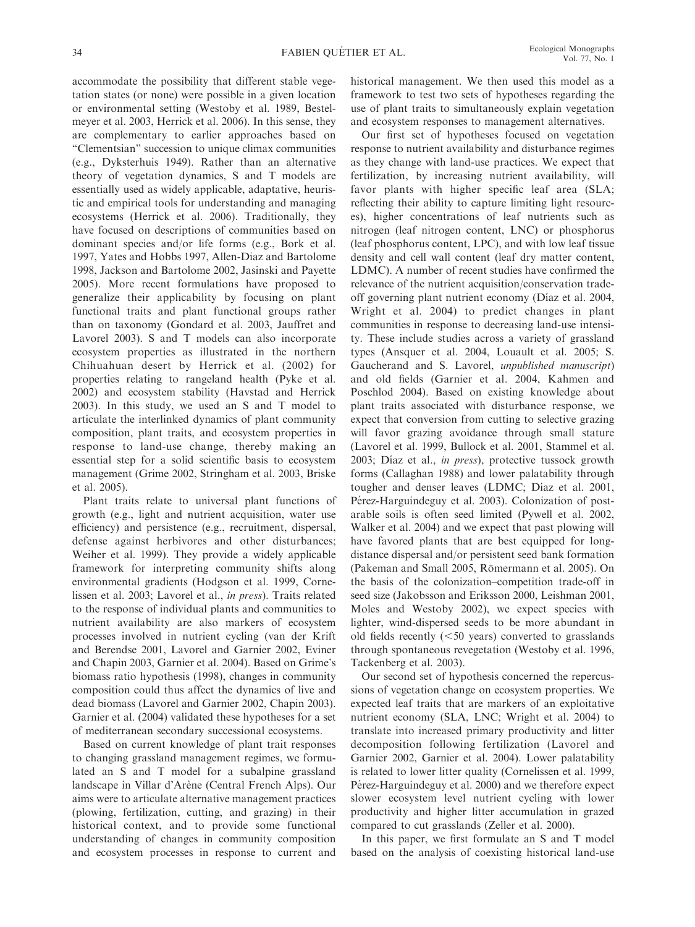accommodate the possibility that different stable vegetation states (or none) were possible in a given location or environmental setting (Westoby et al. 1989, Bestelmeyer et al. 2003, Herrick et al. 2006). In this sense, they are complementary to earlier approaches based on ''Clementsian'' succession to unique climax communities (e.g., Dyksterhuis 1949). Rather than an alternative theory of vegetation dynamics, S and T models are essentially used as widely applicable, adaptative, heuristic and empirical tools for understanding and managing ecosystems (Herrick et al. 2006). Traditionally, they have focused on descriptions of communities based on dominant species and/or life forms (e.g., Bork et al. 1997, Yates and Hobbs 1997, Allen-Diaz and Bartolome 1998, Jackson and Bartolome 2002, Jasinski and Payette 2005). More recent formulations have proposed to generalize their applicability by focusing on plant functional traits and plant functional groups rather than on taxonomy (Gondard et al. 2003, Jauffret and Lavorel 2003). S and T models can also incorporate ecosystem properties as illustrated in the northern Chihuahuan desert by Herrick et al. (2002) for properties relating to rangeland health (Pyke et al. 2002) and ecosystem stability (Havstad and Herrick 2003). In this study, we used an S and T model to articulate the interlinked dynamics of plant community composition, plant traits, and ecosystem properties in response to land-use change, thereby making an essential step for a solid scientific basis to ecosystem management (Grime 2002, Stringham et al. 2003, Briske et al. 2005).

Plant traits relate to universal plant functions of growth (e.g., light and nutrient acquisition, water use efficiency) and persistence (e.g., recruitment, dispersal, defense against herbivores and other disturbances; Weiher et al. 1999). They provide a widely applicable framework for interpreting community shifts along environmental gradients (Hodgson et al. 1999, Cornelissen et al. 2003; Lavorel et al., in press). Traits related to the response of individual plants and communities to nutrient availability are also markers of ecosystem processes involved in nutrient cycling (van der Krift and Berendse 2001, Lavorel and Garnier 2002, Eviner and Chapin 2003, Garnier et al. 2004). Based on Grime's biomass ratio hypothesis (1998), changes in community composition could thus affect the dynamics of live and dead biomass (Lavorel and Garnier 2002, Chapin 2003). Garnier et al. (2004) validated these hypotheses for a set of mediterranean secondary successional ecosystems.

Based on current knowledge of plant trait responses to changing grassland management regimes, we formulated an S and T model for a subalpine grassland landscape in Villar d'Arène (Central French Alps). Our aims were to articulate alternative management practices (plowing, fertilization, cutting, and grazing) in their historical context, and to provide some functional understanding of changes in community composition and ecosystem processes in response to current and historical management. We then used this model as a framework to test two sets of hypotheses regarding the use of plant traits to simultaneously explain vegetation and ecosystem responses to management alternatives.

Our first set of hypotheses focused on vegetation response to nutrient availability and disturbance regimes as they change with land-use practices. We expect that fertilization, by increasing nutrient availability, will favor plants with higher specific leaf area (SLA; reflecting their ability to capture limiting light resources), higher concentrations of leaf nutrients such as nitrogen (leaf nitrogen content, LNC) or phosphorus (leaf phosphorus content, LPC), and with low leaf tissue density and cell wall content (leaf dry matter content, LDMC). A number of recent studies have confirmed the relevance of the nutrient acquisition/conservation tradeoff governing plant nutrient economy (Díaz et al. 2004, Wright et al. 2004) to predict changes in plant communities in response to decreasing land-use intensity. These include studies across a variety of grassland types (Ansquer et al. 2004, Louault et al. 2005; S. Gaucherand and S. Lavorel, unpublished manuscript) and old fields (Garnier et al. 2004, Kahmen and Poschlod 2004). Based on existing knowledge about plant traits associated with disturbance response, we expect that conversion from cutting to selective grazing will favor grazing avoidance through small stature (Lavorel et al. 1999, Bullock et al. 2001, Stammel et al. 2003; Díaz et al., in press), protective tussock growth forms (Callaghan 1988) and lower palatability through tougher and denser leaves (LDMC; Díaz et al. 2001, Pérez-Harguindeguy et al. 2003). Colonization of postarable soils is often seed limited (Pywell et al. 2002, Walker et al. 2004) and we expect that past plowing will have favored plants that are best equipped for longdistance dispersal and/or persistent seed bank formation (Pakeman and Small 2005, Römermann et al. 2005). On the basis of the colonization–competition trade-off in seed size (Jakobsson and Eriksson 2000, Leishman 2001, Moles and Westoby 2002), we expect species with lighter, wind-dispersed seeds to be more abundant in old fields recently  $(<50$  years) converted to grasslands through spontaneous revegetation (Westoby et al. 1996, Tackenberg et al. 2003).

Our second set of hypothesis concerned the repercussions of vegetation change on ecosystem properties. We expected leaf traits that are markers of an exploitative nutrient economy (SLA, LNC; Wright et al. 2004) to translate into increased primary productivity and litter decomposition following fertilization (Lavorel and Garnier 2002, Garnier et al. 2004). Lower palatability is related to lower litter quality (Cornelissen et al. 1999, Pérez-Harguindeguy et al. 2000) and we therefore expect slower ecosystem level nutrient cycling with lower productivity and higher litter accumulation in grazed compared to cut grasslands (Zeller et al. 2000).

In this paper, we first formulate an S and T model based on the analysis of coexisting historical land-use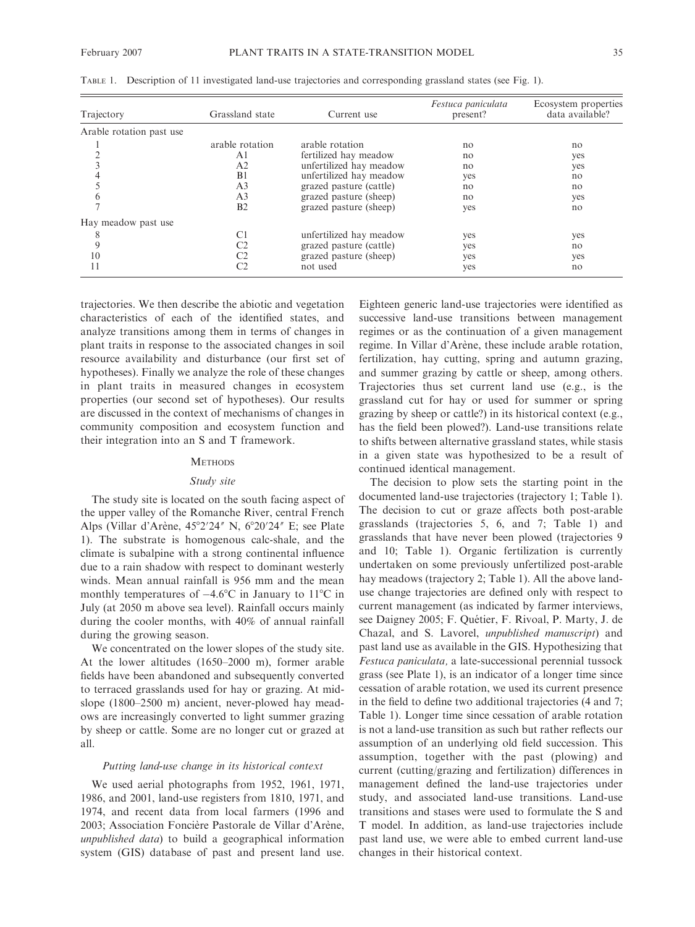| Trajectory               | Grassland state |                         | Festuca paniculata<br>present? | Ecosystem properties<br>data available? |
|--------------------------|-----------------|-------------------------|--------------------------------|-----------------------------------------|
| Arable rotation past use |                 |                         |                                |                                         |
|                          | arable rotation | arable rotation         | no                             | no                                      |
|                          | A1              | fertilized hay meadow   | no                             | yes                                     |
| 3                        | A <sub>2</sub>  | unfertilized hay meadow | no                             | yes                                     |
| 4                        | B <sub>1</sub>  | unfertilized hay meadow | yes                            | no                                      |
|                          | A <sub>3</sub>  | grazed pasture (cattle) | no                             | no                                      |
| 6                        | A <sub>3</sub>  | grazed pasture (sheep)  | no                             | yes                                     |
| $\overline{ }$           | B <sub>2</sub>  | grazed pasture (sheep)  | yes                            | no                                      |
| Hay meadow past use      |                 |                         |                                |                                         |
| 8                        | C1              | unfertilized hay meadow | yes                            | yes                                     |
| 9                        | C2              | grazed pasture (cattle) | yes                            | no                                      |
| 10                       | C2              | grazed pasture (sheep)  | yes                            | yes                                     |
| 11                       | C2              | not used                | yes                            | no                                      |

TABLE 1. Description of 11 investigated land-use trajectories and corresponding grassland states (see Fig. 1).

trajectories. We then describe the abiotic and vegetation characteristics of each of the identified states, and analyze transitions among them in terms of changes in plant traits in response to the associated changes in soil resource availability and disturbance (our first set of hypotheses). Finally we analyze the role of these changes in plant traits in measured changes in ecosystem properties (our second set of hypotheses). Our results are discussed in the context of mechanisms of changes in community composition and ecosystem function and their integration into an S and T framework.

#### **METHODS**

#### Study site

The study site is located on the south facing aspect of the upper valley of the Romanche River, central French Alps (Villar d'Arène, 45°2′24″ N, 6°20′24″ E; see Plate 1). The substrate is homogenous calc-shale, and the climate is subalpine with a strong continental influence due to a rain shadow with respect to dominant westerly winds. Mean annual rainfall is 956 mm and the mean monthly temperatures of  $-4.6^{\circ}$ C in January to 11<sup>°</sup>C in July (at 2050 m above sea level). Rainfall occurs mainly during the cooler months, with 40% of annual rainfall during the growing season.

We concentrated on the lower slopes of the study site. At the lower altitudes (1650–2000 m), former arable fields have been abandoned and subsequently converted to terraced grasslands used for hay or grazing. At midslope (1800–2500 m) ancient, never-plowed hay meadows are increasingly converted to light summer grazing by sheep or cattle. Some are no longer cut or grazed at all.

#### Putting land-use change in its historical context

We used aerial photographs from 1952, 1961, 1971, 1986, and 2001, land-use registers from 1810, 1971, and 1974, and recent data from local farmers (1996 and 2003; Association Foncière Pastorale de Villar d'Arène, unpublished data) to build a geographical information system (GIS) database of past and present land use.

Eighteen generic land-use trajectories were identified as successive land-use transitions between management regimes or as the continuation of a given management regime. In Villar d'Arène, these include arable rotation, fertilization, hay cutting, spring and autumn grazing, and summer grazing by cattle or sheep, among others. Trajectories thus set current land use (e.g., is the grassland cut for hay or used for summer or spring grazing by sheep or cattle?) in its historical context (e.g., has the field been plowed?). Land-use transitions relate to shifts between alternative grassland states, while stasis in a given state was hypothesized to be a result of continued identical management.

The decision to plow sets the starting point in the documented land-use trajectories (trajectory 1; Table 1). The decision to cut or graze affects both post-arable grasslands (trajectories 5, 6, and 7; Table 1) and grasslands that have never been plowed (trajectories 9 and 10; Table 1). Organic fertilization is currently undertaken on some previously unfertilized post-arable hay meadows (trajectory 2; Table 1). All the above landuse change trajectories are defined only with respect to current management (as indicated by farmer interviews, see Daigney 2005; F. Quétier, F. Rivoal, P. Marty, J. de Chazal, and S. Lavorel, unpublished manuscript) and past land use as available in the GIS. Hypothesizing that Festuca paniculata, a late-successional perennial tussock grass (see Plate 1), is an indicator of a longer time since cessation of arable rotation, we used its current presence in the field to define two additional trajectories (4 and 7; Table 1). Longer time since cessation of arable rotation is not a land-use transition as such but rather reflects our assumption of an underlying old field succession. This assumption, together with the past (plowing) and current (cutting/grazing and fertilization) differences in management defined the land-use trajectories under study, and associated land-use transitions. Land-use transitions and stases were used to formulate the S and T model. In addition, as land-use trajectories include past land use, we were able to embed current land-use changes in their historical context.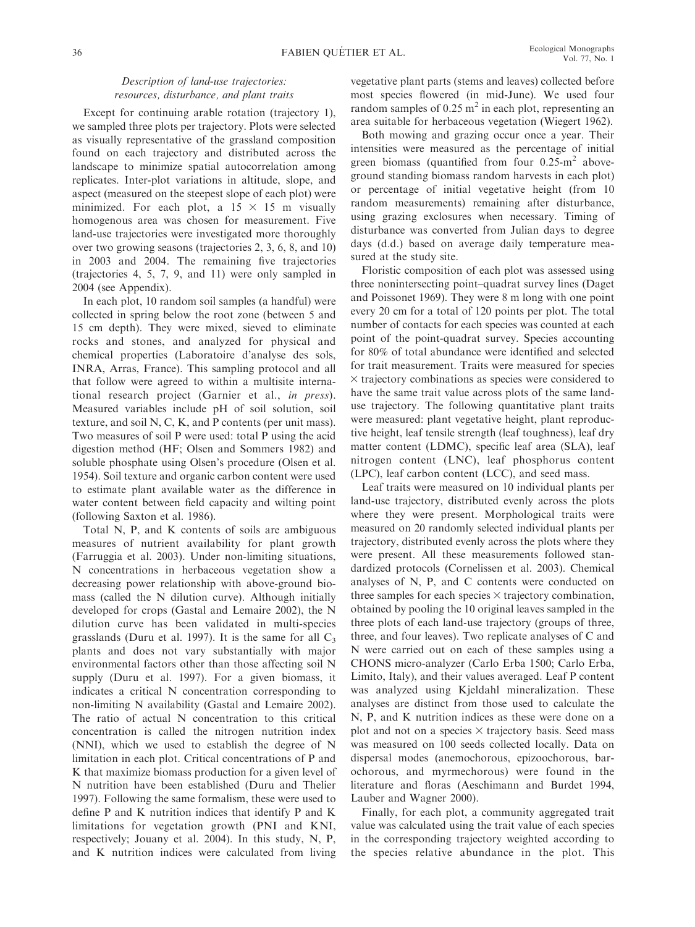# Description of land-use trajectories: resources, disturbance, and plant traits

Except for continuing arable rotation (trajectory 1), we sampled three plots per trajectory. Plots were selected as visually representative of the grassland composition found on each trajectory and distributed across the landscape to minimize spatial autocorrelation among replicates. Inter-plot variations in altitude, slope, and aspect (measured on the steepest slope of each plot) were minimized. For each plot, a  $15 \times 15$  m visually homogenous area was chosen for measurement. Five land-use trajectories were investigated more thoroughly over two growing seasons (trajectories 2, 3, 6, 8, and 10) in 2003 and 2004. The remaining five trajectories (trajectories 4, 5, 7, 9, and 11) were only sampled in 2004 (see Appendix).

In each plot, 10 random soil samples (a handful) were collected in spring below the root zone (between 5 and 15 cm depth). They were mixed, sieved to eliminate rocks and stones, and analyzed for physical and chemical properties (Laboratoire d'analyse des sols, INRA, Arras, France). This sampling protocol and all that follow were agreed to within a multisite international research project (Garnier et al., in press). Measured variables include pH of soil solution, soil texture, and soil N, C, K, and P contents (per unit mass). Two measures of soil P were used: total P using the acid digestion method (HF; Olsen and Sommers 1982) and soluble phosphate using Olsen's procedure (Olsen et al. 1954). Soil texture and organic carbon content were used to estimate plant available water as the difference in water content between field capacity and wilting point (following Saxton et al. 1986).

Total N, P, and K contents of soils are ambiguous measures of nutrient availability for plant growth (Farruggia et al. 2003). Under non-limiting situations, N concentrations in herbaceous vegetation show a decreasing power relationship with above-ground biomass (called the N dilution curve). Although initially developed for crops (Gastal and Lemaire 2002), the N dilution curve has been validated in multi-species grasslands (Duru et al. 1997). It is the same for all  $C_3$ plants and does not vary substantially with major environmental factors other than those affecting soil N supply (Duru et al. 1997). For a given biomass, it indicates a critical N concentration corresponding to non-limiting N availability (Gastal and Lemaire 2002). The ratio of actual N concentration to this critical concentration is called the nitrogen nutrition index (NNI), which we used to establish the degree of N limitation in each plot. Critical concentrations of P and K that maximize biomass production for a given level of N nutrition have been established (Duru and Thelier 1997). Following the same formalism, these were used to define P and K nutrition indices that identify P and K limitations for vegetation growth (PNI and KNI, respectively; Jouany et al. 2004). In this study, N, P, and K nutrition indices were calculated from living vegetative plant parts (stems and leaves) collected before most species flowered (in mid-June). We used four random samples of  $0.25$  m<sup>2</sup> in each plot, representing an area suitable for herbaceous vegetation (Wiegert 1962).

Both mowing and grazing occur once a year. Their intensities were measured as the percentage of initial green biomass (quantified from four  $0.25 \text{--} m^2$  aboveground standing biomass random harvests in each plot) or percentage of initial vegetative height (from 10 random measurements) remaining after disturbance, using grazing exclosures when necessary. Timing of disturbance was converted from Julian days to degree days (d.d.) based on average daily temperature measured at the study site.

Floristic composition of each plot was assessed using three nonintersecting point–quadrat survey lines (Daget and Poissonet 1969). They were 8 m long with one point every 20 cm for a total of 120 points per plot. The total number of contacts for each species was counted at each point of the point-quadrat survey. Species accounting for 80% of total abundance were identified and selected for trait measurement. Traits were measured for species  $\times$  trajectory combinations as species were considered to have the same trait value across plots of the same landuse trajectory. The following quantitative plant traits were measured: plant vegetative height, plant reproductive height, leaf tensile strength (leaf toughness), leaf dry matter content (LDMC), specific leaf area (SLA), leaf nitrogen content (LNC), leaf phosphorus content (LPC), leaf carbon content (LCC), and seed mass.

Leaf traits were measured on 10 individual plants per land-use trajectory, distributed evenly across the plots where they were present. Morphological traits were measured on 20 randomly selected individual plants per trajectory, distributed evenly across the plots where they were present. All these measurements followed standardized protocols (Cornelissen et al. 2003). Chemical analyses of N, P, and C contents were conducted on three samples for each species  $\times$  trajectory combination, obtained by pooling the 10 original leaves sampled in the three plots of each land-use trajectory (groups of three, three, and four leaves). Two replicate analyses of C and N were carried out on each of these samples using a CHONS micro-analyzer (Carlo Erba 1500; Carlo Erba, Limito, Italy), and their values averaged. Leaf P content was analyzed using Kjeldahl mineralization. These analyses are distinct from those used to calculate the N, P, and K nutrition indices as these were done on a plot and not on a species  $\times$  trajectory basis. Seed mass was measured on 100 seeds collected locally. Data on dispersal modes (anemochorous, epizoochorous, barochorous, and myrmechorous) were found in the literature and floras (Aeschimann and Burdet 1994, Lauber and Wagner 2000).

Finally, for each plot, a community aggregated trait value was calculated using the trait value of each species in the corresponding trajectory weighted according to the species relative abundance in the plot. This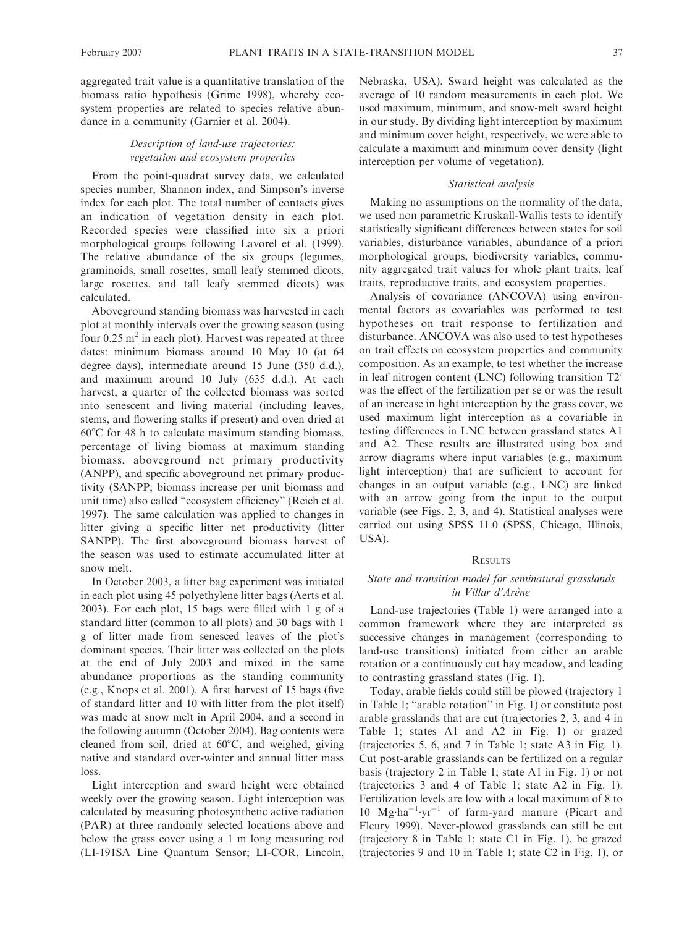aggregated trait value is a quantitative translation of the biomass ratio hypothesis (Grime 1998), whereby ecosystem properties are related to species relative abundance in a community (Garnier et al. 2004).

### Description of land-use trajectories: vegetation and ecosystem properties

From the point-quadrat survey data, we calculated species number, Shannon index, and Simpson's inverse index for each plot. The total number of contacts gives an indication of vegetation density in each plot. Recorded species were classified into six a priori morphological groups following Lavorel et al. (1999). The relative abundance of the six groups (legumes, graminoids, small rosettes, small leafy stemmed dicots, large rosettes, and tall leafy stemmed dicots) was calculated.

Aboveground standing biomass was harvested in each plot at monthly intervals over the growing season (using four  $0.25 \text{ m}^2$  in each plot). Harvest was repeated at three dates: minimum biomass around 10 May 10 (at 64 degree days), intermediate around 15 June (350 d.d.), and maximum around 10 July (635 d.d.). At each harvest, a quarter of the collected biomass was sorted into senescent and living material (including leaves, stems, and flowering stalks if present) and oven dried at  $60^{\circ}$ C for 48 h to calculate maximum standing biomass, percentage of living biomass at maximum standing biomass, aboveground net primary productivity (ANPP), and specific aboveground net primary productivity (SANPP; biomass increase per unit biomass and unit time) also called ''ecosystem efficiency'' (Reich et al. 1997). The same calculation was applied to changes in litter giving a specific litter net productivity (litter SANPP). The first aboveground biomass harvest of the season was used to estimate accumulated litter at snow melt.

In October 2003, a litter bag experiment was initiated in each plot using 45 polyethylene litter bags (Aerts et al. 2003). For each plot, 15 bags were filled with 1 g of a standard litter (common to all plots) and 30 bags with 1 g of litter made from senesced leaves of the plot's dominant species. Their litter was collected on the plots at the end of July 2003 and mixed in the same abundance proportions as the standing community (e.g., Knops et al. 2001). A first harvest of 15 bags (five of standard litter and 10 with litter from the plot itself) was made at snow melt in April 2004, and a second in the following autumn (October 2004). Bag contents were cleaned from soil, dried at  $60^{\circ}$ C, and weighed, giving native and standard over-winter and annual litter mass loss.

Light interception and sward height were obtained weekly over the growing season. Light interception was calculated by measuring photosynthetic active radiation (PAR) at three randomly selected locations above and below the grass cover using a 1 m long measuring rod (LI-191SA Line Quantum Sensor; LI-COR, Lincoln, Nebraska, USA). Sward height was calculated as the average of 10 random measurements in each plot. We used maximum, minimum, and snow-melt sward height in our study. By dividing light interception by maximum and minimum cover height, respectively, we were able to calculate a maximum and minimum cover density (light interception per volume of vegetation).

#### Statistical analysis

Making no assumptions on the normality of the data, we used non parametric Kruskall-Wallis tests to identify statistically significant differences between states for soil variables, disturbance variables, abundance of a priori morphological groups, biodiversity variables, community aggregated trait values for whole plant traits, leaf traits, reproductive traits, and ecosystem properties.

Analysis of covariance (ANCOVA) using environmental factors as covariables was performed to test hypotheses on trait response to fertilization and disturbance. ANCOVA was also used to test hypotheses on trait effects on ecosystem properties and community composition. As an example, to test whether the increase in leaf nitrogen content (LNC) following transition  $T2'$ was the effect of the fertilization per se or was the result of an increase in light interception by the grass cover, we used maximum light interception as a covariable in testing differences in LNC between grassland states A1 and A2. These results are illustrated using box and arrow diagrams where input variables (e.g., maximum light interception) that are sufficient to account for changes in an output variable (e.g., LNC) are linked with an arrow going from the input to the output variable (see Figs. 2, 3, and 4). Statistical analyses were carried out using SPSS 11.0 (SPSS, Chicago, Illinois, USA).

# **RESULTS**

## State and transition model for seminatural grasslands in Villar d'Arène

Land-use trajectories (Table 1) were arranged into a common framework where they are interpreted as successive changes in management (corresponding to land-use transitions) initiated from either an arable rotation or a continuously cut hay meadow, and leading to contrasting grassland states (Fig. 1).

Today, arable fields could still be plowed (trajectory 1 in Table 1; "arable rotation" in Fig. 1) or constitute post arable grasslands that are cut (trajectories 2, 3, and 4 in Table 1; states A1 and A2 in Fig. 1) or grazed (trajectories 5, 6, and 7 in Table 1; state A3 in Fig. 1). Cut post-arable grasslands can be fertilized on a regular basis (trajectory 2 in Table 1; state A1 in Fig. 1) or not (trajectories 3 and 4 of Table 1; state A2 in Fig. 1). Fertilization levels are low with a local maximum of 8 to 10  $Mg·ha^{-1}·yr^{-1}$  of farm-yard manure (Picart and Fleury 1999). Never-plowed grasslands can still be cut (trajectory 8 in Table 1; state C1 in Fig. 1), be grazed (trajectories 9 and 10 in Table 1; state C2 in Fig. 1), or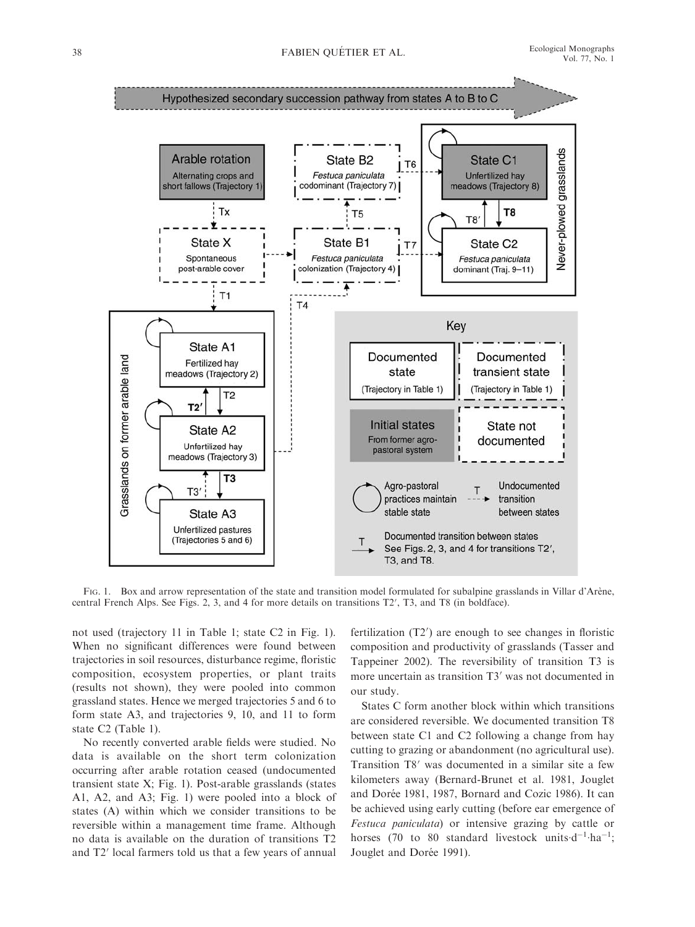

FIG. 1. Box and arrow representation of the state and transition model formulated for subalpine grasslands in Villar d'Arène, central French Alps. See Figs. 2, 3, and 4 for more details on transitions  $T2'$ ,  $T3$ , and  $T8$  (in boldface).

not used (trajectory 11 in Table 1; state C2 in Fig. 1). When no significant differences were found between trajectories in soil resources, disturbance regime, floristic composition, ecosystem properties, or plant traits (results not shown), they were pooled into common grassland states. Hence we merged trajectories 5 and 6 to form state A3, and trajectories 9, 10, and 11 to form state C2 (Table 1).

No recently converted arable fields were studied. No data is available on the short term colonization occurring after arable rotation ceased (undocumented transient state X; Fig. 1). Post-arable grasslands (states A1, A2, and A3; Fig. 1) were pooled into a block of states (A) within which we consider transitions to be reversible within a management time frame. Although no data is available on the duration of transitions T2 and T2' local farmers told us that a few years of annual

fertilization  $(T2')$  are enough to see changes in floristic composition and productivity of grasslands (Tasser and Tappeiner 2002). The reversibility of transition T3 is more uncertain as transition  $T3'$  was not documented in our study.

States C form another block within which transitions are considered reversible. We documented transition T8 between state C1 and C2 following a change from hay cutting to grazing or abandonment (no agricultural use). Transition T8' was documented in a similar site a few kilometers away (Bernard-Brunet et al. 1981, Jouglet and Dorée 1981, 1987, Bornard and Cozic 1986). It can be achieved using early cutting (before ear emergence of Festuca paniculata) or intensive grazing by cattle or horses (70 to 80 standard livestock units- $d^{-1}$ -ha<sup>-1</sup>; Jouglet and Dorée 1991).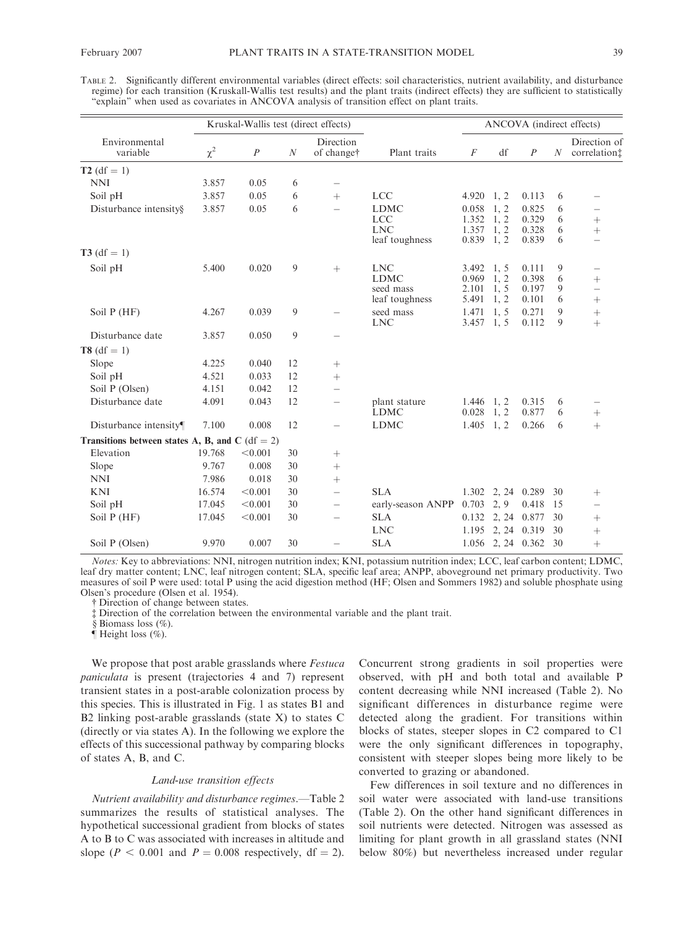|  | TABLE 2. Significantly different environmental variables (direct effects: soil characteristics, nutrient availability, and disturbance  |  |  |  |  |  |
|--|-----------------------------------------------------------------------------------------------------------------------------------------|--|--|--|--|--|
|  | regime) for each transition (Kruskall-Wallis test results) and the plant traits (indirect effects) they are sufficient to statistically |  |  |  |  |  |
|  | "explain" when used as covariates in ANCOVA analysis of transition effect on plant traits.                                              |  |  |  |  |  |

|                                                     |          | Kruskal-Wallis test (direct effects) |              |                          |                                         | ANCOVA (indirect effects) |                      |                         |              |                                          |  |
|-----------------------------------------------------|----------|--------------------------------------|--------------|--------------------------|-----------------------------------------|---------------------------|----------------------|-------------------------|--------------|------------------------------------------|--|
| Environmental<br>variable                           | $\chi^2$ | $\overline{P}$                       | $\mathcal N$ | Direction<br>of change†  | Plant traits                            | $\overline{F}$            | df                   | $\boldsymbol{P}$        | $\mathcal N$ | Direction of<br>correlation <sup>*</sup> |  |
| <b>T2</b> (df = 1)                                  |          |                                      |              |                          |                                         |                           |                      |                         |              |                                          |  |
| <b>NNI</b>                                          | 3.857    | 0.05                                 | 6            | $\overline{\phantom{m}}$ |                                         |                           |                      |                         |              |                                          |  |
| Soil pH                                             | 3.857    | 0.05                                 | 6            | $+$                      | <b>LCC</b>                              | 4.920                     | 1, 2                 | 0.113                   | 6            | $\qquad \qquad -$                        |  |
| Disturbance intensity§                              | 3.857    | 0.05                                 | 6            | $\equiv$                 | <b>LDMC</b><br><b>LCC</b><br><b>LNC</b> | 0.058<br>1.352<br>1.357   | 1, 2<br>1, 2<br>1, 2 | 0.825<br>0.329<br>0.328 | 6<br>6<br>6  | $^{+}$                                   |  |
|                                                     |          |                                      |              |                          | leaf toughness                          | 0.839                     | 1, 2                 | 0.839                   | 6            | $^{+}$                                   |  |
| <b>T3</b> (df = 1)                                  |          |                                      |              |                          |                                         |                           |                      |                         |              |                                          |  |
| Soil pH                                             | 5.400    | 0.020                                | 9            | $+$                      | <b>LNC</b>                              | 3.492                     | 1, 5                 | 0.111                   | 9            | $\qquad \qquad -$                        |  |
|                                                     |          |                                      |              |                          | <b>LDMC</b>                             | 0.969                     | 1, 2                 | 0.398                   | 6            |                                          |  |
|                                                     |          |                                      |              |                          | seed mass                               | 2.101                     | 1, 5                 | 0.197                   | 9            | $\equiv$                                 |  |
|                                                     |          |                                      |              |                          | leaf toughness                          | 5.491                     | 1, 2                 | 0.101                   | 6            | $^{+}$                                   |  |
| Soil $P(HF)$                                        | 4.267    | 0.039                                | 9            |                          | seed mass<br><b>LNC</b>                 | 1.471<br>3.457            | 1.5<br>1, 5          | 0.271<br>0.112          | 9<br>9       | $\ddot{}$<br>$+$                         |  |
| Disturbance date                                    | 3.857    | 0.050                                | 9            | $\overline{\phantom{0}}$ |                                         |                           |                      |                         |              |                                          |  |
| <b>T8</b> (df = 1)                                  |          |                                      |              |                          |                                         |                           |                      |                         |              |                                          |  |
| Slope                                               | 4.225    | 0.040                                | 12           | $^{+}$                   |                                         |                           |                      |                         |              |                                          |  |
| Soil pH                                             | 4.521    | 0.033                                | 12           | $+$                      |                                         |                           |                      |                         |              |                                          |  |
| Soil P (Olsen)                                      | 4.151    | 0.042                                | 12           | $\qquad \qquad -$        |                                         |                           |                      |                         |              |                                          |  |
| Disturbance date                                    | 4.091    | 0.043                                | 12           | $\overline{\phantom{m}}$ | plant stature<br><b>LDMC</b>            | 1.446<br>0.028            | 1, 2<br>1, 2         | 0.315<br>0.877          | 6<br>6       | $^{+}$                                   |  |
| Disturbance intensity                               | 7.100    | 0.008                                | 12           | $\qquad \qquad -$        | <b>LDMC</b>                             | 1.405                     | 1, 2                 | 0.266                   | 6            | $+$                                      |  |
| Transitions between states A, B, and C ( $df = 2$ ) |          |                                      |              |                          |                                         |                           |                      |                         |              |                                          |  |
| Elevation                                           | 19.768   | < 0.001                              | 30           | $^{+}$                   |                                         |                           |                      |                         |              |                                          |  |
| Slope                                               | 9.767    | 0.008                                | 30           | $^{+}$                   |                                         |                           |                      |                         |              |                                          |  |
| <b>NNI</b>                                          | 7.986    | 0.018                                | 30           | $^{+}$                   |                                         |                           |                      |                         |              |                                          |  |
| <b>KNI</b>                                          | 16.574   | < 0.001                              | 30           | $\qquad \qquad -$        | <b>SLA</b>                              | 1.302                     | 2, 24                | 0.289                   | 30           | $+$                                      |  |
| Soil pH                                             | 17.045   | < 0.001                              | 30           | $\overline{\phantom{m}}$ | early-season ANPP                       | 0.703                     | 2, 9                 | 0.418                   | 15           |                                          |  |
| Soil $P$ (HF)                                       | 17.045   | < 0.001                              | 30           |                          | <b>SLA</b>                              | 0.132                     | 2, 24                | 0.877                   | 30           | $+$                                      |  |
|                                                     |          |                                      |              |                          | <b>LNC</b>                              | 1.195                     | 2, 24                | 0.319                   | 30           | $+$                                      |  |
| Soil P (Olsen)                                      | 9.970    | 0.007                                | 30           |                          | <b>SLA</b>                              |                           |                      | 1.056 2, 24 0.362       | 30           | $^{+}$                                   |  |

Notes: Key to abbreviations: NNI, nitrogen nutrition index; KNI, potassium nutrition index; LCC, leaf carbon content; LDMC, leaf dry matter content; LNC, leaf nitrogen content; SLA, specific leaf area; ANPP, aboveground net primary productivity. Two measures of soil P were used: total P using the acid digestion method (HF; Olsen and Sommers 1982) and soluble phosphate using Olsen's procedure (Olsen et al. 1954).

Direction of change between states.

- Direction of the correlation between the environmental variable and the plant trait.

§ Biomass loss (%).

 $\H$  Height loss  $(\hat{\%})$ .

We propose that post arable grasslands where *Festuca* paniculata is present (trajectories 4 and 7) represent transient states in a post-arable colonization process by this species. This is illustrated in Fig. 1 as states B1 and B2 linking post-arable grasslands (state X) to states C (directly or via states A). In the following we explore the effects of this successional pathway by comparing blocks of states A, B, and C.

#### Land-use transition effects

Nutrient availability and disturbance regimes.—Table 2 summarizes the results of statistical analyses. The hypothetical successional gradient from blocks of states A to B to C was associated with increases in altitude and slope ( $P < 0.001$  and  $P = 0.008$  respectively, df = 2). Concurrent strong gradients in soil properties were observed, with pH and both total and available P content decreasing while NNI increased (Table 2). No significant differences in disturbance regime were detected along the gradient. For transitions within blocks of states, steeper slopes in C2 compared to C1 were the only significant differences in topography, consistent with steeper slopes being more likely to be converted to grazing or abandoned.

Few differences in soil texture and no differences in soil water were associated with land-use transitions (Table 2). On the other hand significant differences in soil nutrients were detected. Nitrogen was assessed as limiting for plant growth in all grassland states (NNI below 80%) but nevertheless increased under regular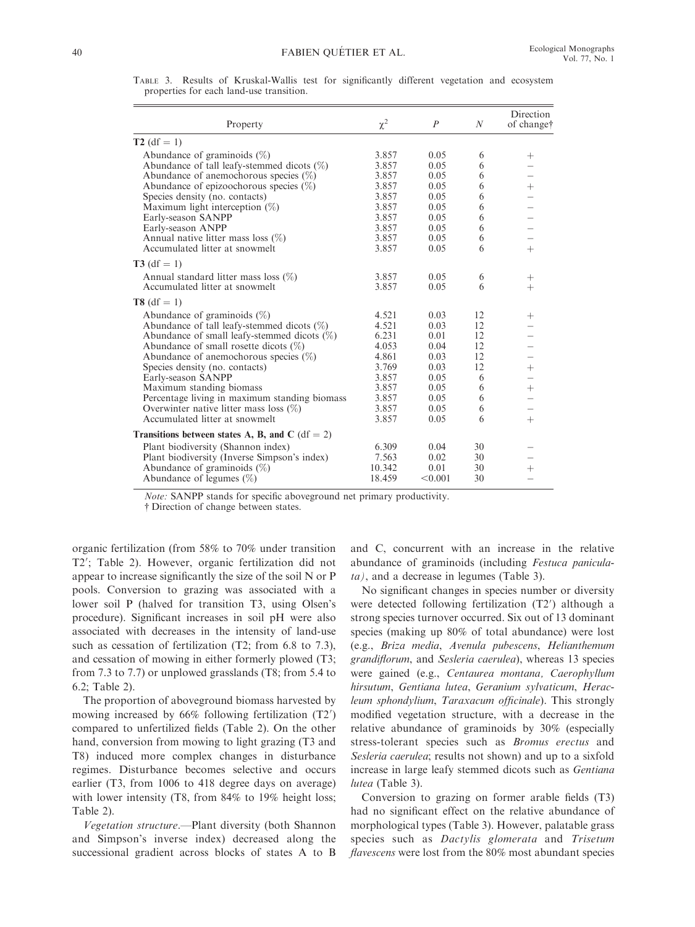TABLE 3. Results of Kruskal-Wallis test for significantly different vegetation and ecosystem properties for each land-use transition.

| Property                                            | $\chi^2$ | $\overline{P}$ | $\mathcal{N}$ | Direction<br>of changet  |
|-----------------------------------------------------|----------|----------------|---------------|--------------------------|
| <b>T2</b> (df = 1)                                  |          |                |               |                          |
| Abundance of graminoids $(\%)$                      | 3.857    | 0.05           | 6             |                          |
| Abundance of tall leafy-stemmed dicots $(\%)$       | 3.857    | 0.05           | 6             |                          |
| Abundance of anemochorous species $(\%)$            | 3.857    | 0.05           | 6             |                          |
| Abundance of epizoochorous species $(\%)$           | 3.857    | 0.05           | 6             | $^{+}$                   |
| Species density (no. contacts)                      | 3.857    | 0.05           | 6             |                          |
| Maximum light interception $(\%)$                   | 3.857    | 0.05           | 6             |                          |
| Early-season SANPP                                  | 3.857    | 0.05           | 6             |                          |
| Early-season ANPP                                   | 3.857    | 0.05           | 6             |                          |
| Annual native litter mass loss $(\%)$               | 3.857    | 0.05           | 6             |                          |
| Accumulated litter at snowmelt                      | 3.857    | 0.05           | 6             | $+$                      |
| <b>T3</b> (df = 1)                                  |          |                |               |                          |
| Annual standard litter mass loss $(\%)$             | 3.857    | 0.05           | 6             |                          |
| Accumulated litter at snowmelt                      | 3.857    | 0.05           | 6             | $+$                      |
| <b>T8</b> (df = 1)                                  |          |                |               |                          |
| Abundance of graminoids $(\%)$                      | 4.521    | 0.03           | 12            | $^{+}$                   |
| Abundance of tall leafy-stemmed dicots $(\%)$       | 4.521    | 0.03           | 12            |                          |
| Abundance of small leafy-stemmed dicots $(\%)$      | 6.231    | 0.01           | 12            |                          |
| Abundance of small rosette dicots $(\%)$            | 4.053    | 0.04           | 12            |                          |
| Abundance of anemochorous species $(\%)$            | 4.861    | 0.03           | 12            |                          |
| Species density (no. contacts)                      | 3.769    | 0.03           | 12            | $^{+}$                   |
| Early-season SANPP                                  | 3.857    | 0.05           | 6             | $\overline{\phantom{0}}$ |
| Maximum standing biomass                            | 3.857    | 0.05           | 6             | $^{+}$                   |
| Percentage living in maximum standing biomass       | 3.857    | 0.05           | 6             | $\overline{\phantom{0}}$ |
| Overwinter native litter mass loss $(\%)$           | 3.857    | 0.05           | 6             | $\overline{\phantom{0}}$ |
| Accumulated litter at snowmelt                      | 3.857    | 0.05           | 6             | $+$                      |
| Transitions between states A, B, and C ( $df = 2$ ) |          |                |               |                          |
| Plant biodiversity (Shannon index)                  | 6.309    | 0.04           | 30            |                          |
| Plant biodiversity (Inverse Simpson's index)        | 7.563    | 0.02           | 30            |                          |
| Abundance of graminoids $(\%)$                      | 10.342   | 0.01           | 30            | $^{+}$                   |
| Abundance of legumes $(\%)$                         | 18.459   | < 0.001        | 30            |                          |

Note: SANPP stands for specific aboveground net primary productivity. Direction of change between states.

organic fertilization (from 58% to 70% under transition T2'; Table 2). However, organic fertilization did not appear to increase significantly the size of the soil N or P pools. Conversion to grazing was associated with a lower soil P (halved for transition T3, using Olsen's procedure). Significant increases in soil pH were also associated with decreases in the intensity of land-use such as cessation of fertilization (T2; from 6.8 to 7.3), and cessation of mowing in either formerly plowed (T3; from 7.3 to 7.7) or unplowed grasslands (T8; from 5.4 to 6.2; Table 2).

The proportion of aboveground biomass harvested by mowing increased by  $66\%$  following fertilization  $(T2')$ compared to unfertilized fields (Table 2). On the other hand, conversion from mowing to light grazing (T3 and T8) induced more complex changes in disturbance regimes. Disturbance becomes selective and occurs earlier (T3, from 1006 to 418 degree days on average) with lower intensity (T8, from 84% to 19% height loss; Table 2).

Vegetation structure.—Plant diversity (both Shannon and Simpson's inverse index) decreased along the successional gradient across blocks of states A to B and C, concurrent with an increase in the relative abundance of graminoids (including Festuca paniculata), and a decrease in legumes (Table 3).

No significant changes in species number or diversity were detected following fertilization  $(T2')$  although a strong species turnover occurred. Six out of 13 dominant species (making up 80% of total abundance) were lost (e.g., Briza media, Avenula pubescens, Helianthemum grandiflorum, and Sesleria caerulea), whereas 13 species were gained (e.g., Centaurea montana, Caerophyllum hirsutum, Gentiana lutea, Geranium sylvaticum, Heracleum sphondylium, Taraxacum officinale). This strongly modified vegetation structure, with a decrease in the relative abundance of graminoids by 30% (especially stress-tolerant species such as Bromus erectus and Sesleria caerulea; results not shown) and up to a sixfold increase in large leafy stemmed dicots such as Gentiana lutea (Table 3).

Conversion to grazing on former arable fields (T3) had no significant effect on the relative abundance of morphological types (Table 3). However, palatable grass species such as Dactylis glomerata and Trisetum flavescens were lost from the 80% most abundant species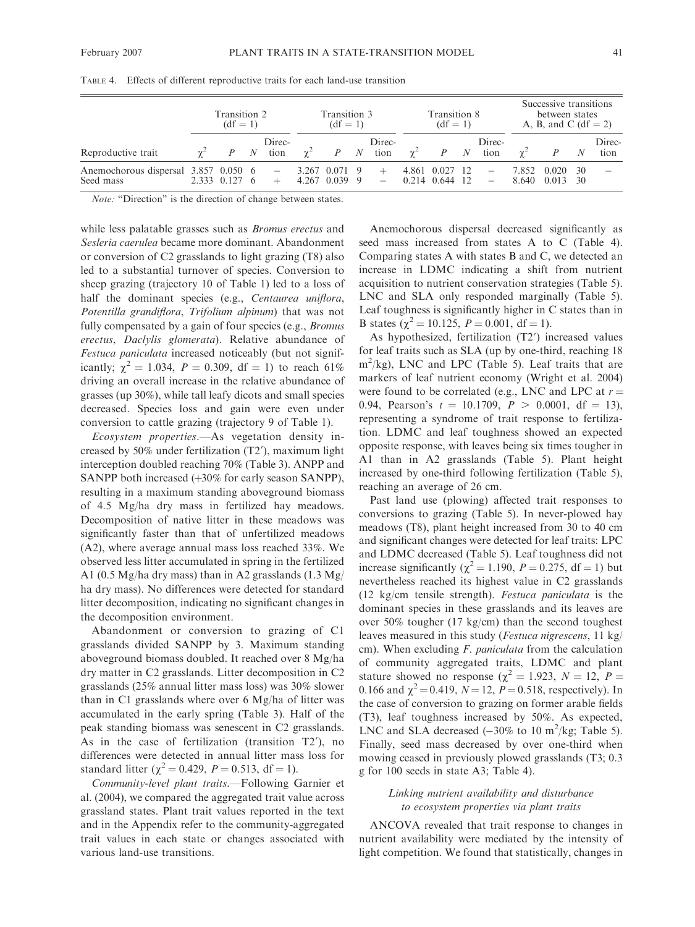|                                                   |             | Transition 2<br>$(df = 1)$ |   |                | Transition 3<br>$(df = 1)$ |                                |  |                | Transition 8<br>$(df = 1)$ |                    |                | Successive transitions<br>between states<br>A, B, and C (df $= 2$ ) |                |                |             |                |
|---------------------------------------------------|-------------|----------------------------|---|----------------|----------------------------|--------------------------------|--|----------------|----------------------------|--------------------|----------------|---------------------------------------------------------------------|----------------|----------------|-------------|----------------|
| Reproductive trait                                |             | P                          | N | Direc-<br>tion | $\gamma^2$                 | $P$ N                          |  | Direc-<br>tion | $\gamma^2$                 |                    | $\overline{N}$ | Direc-<br>tion                                                      |                |                |             | Direc-<br>tion |
| Anemochorous dispersal 3.857 0.050 6<br>Seed mass | 2.333 0.127 |                            |   |                |                            | 3.267 0.071 9<br>4.267 0.039 9 |  | $^{+}$         | 4.861 0.027                | $0.214$ $0.644$ 12 | - 12           | $\hspace{0.1mm}-\hspace{0.1mm}$<br>$\equiv$                         | 7.852<br>8.640 | 0.020<br>0.013 | -30<br>- 30 |                |

TABLE 4. Effects of different reproductive traits for each land-use transition

Note: ''Direction'' is the direction of change between states.

while less palatable grasses such as Bromus erectus and Sesleria caerulea became more dominant. Abandonment or conversion of C2 grasslands to light grazing (T8) also led to a substantial turnover of species. Conversion to sheep grazing (trajectory 10 of Table 1) led to a loss of half the dominant species (e.g., Centaurea uniflora, Potentilla grandiflora, Trifolium alpinum) that was not fully compensated by a gain of four species (e.g., Bromus erectus, Daclylis glomerata). Relative abundance of Festuca paniculata increased noticeably (but not significantly;  $\gamma^2 = 1.034$ ,  $P = 0.309$ , df = 1) to reach 61% driving an overall increase in the relative abundance of grasses (up 30%), while tall leafy dicots and small species decreased. Species loss and gain were even under conversion to cattle grazing (trajectory 9 of Table 1).

Ecosystem properties.—As vegetation density increased by 50% under fertilization (T2'), maximum light interception doubled reaching 70% (Table 3). ANPP and SANPP both increased  $(+30\%$  for early season SANPP), resulting in a maximum standing aboveground biomass of 4.5 Mg/ha dry mass in fertilized hay meadows. Decomposition of native litter in these meadows was significantly faster than that of unfertilized meadows (A2), where average annual mass loss reached 33%. We observed less litter accumulated in spring in the fertilized A1 (0.5 Mg/ha dry mass) than in A2 grasslands (1.3 Mg/ ha dry mass). No differences were detected for standard litter decomposition, indicating no significant changes in the decomposition environment.

Abandonment or conversion to grazing of C1 grasslands divided SANPP by 3. Maximum standing aboveground biomass doubled. It reached over 8 Mg/ha dry matter in C2 grasslands. Litter decomposition in C2 grasslands (25% annual litter mass loss) was 30% slower than in C1 grasslands where over 6 Mg/ha of litter was accumulated in the early spring (Table 3). Half of the peak standing biomass was senescent in C2 grasslands. As in the case of fertilization (transition  $T2'$ ), no differences were detected in annual litter mass loss for standard litter ( $\chi^2 = 0.429$ ,  $P = 0.513$ , df = 1).

Community-level plant traits.—Following Garnier et al. (2004), we compared the aggregated trait value across grassland states. Plant trait values reported in the text and in the Appendix refer to the community-aggregated trait values in each state or changes associated with various land-use transitions.

Anemochorous dispersal decreased significantly as seed mass increased from states A to C (Table 4). Comparing states A with states B and C, we detected an increase in LDMC indicating a shift from nutrient acquisition to nutrient conservation strategies (Table 5). LNC and SLA only responded marginally (Table 5). Leaf toughness is significantly higher in C states than in B states ( $\chi^2 = 10.125$ ,  $P = 0.001$ , df = 1).

As hypothesized, fertilization (T2') increased values for leaf traits such as SLA (up by one-third, reaching 18  $m^2/kg$ ), LNC and LPC (Table 5). Leaf traits that are markers of leaf nutrient economy (Wright et al. 2004) were found to be correlated (e.g., LNC and LPC at  $r =$ 0.94, Pearson's  $t = 10.1709$ ,  $P > 0.0001$ , df = 13), representing a syndrome of trait response to fertilization. LDMC and leaf toughness showed an expected opposite response, with leaves being six times tougher in A1 than in A2 grasslands (Table 5). Plant height increased by one-third following fertilization (Table 5), reaching an average of 26 cm.

Past land use (plowing) affected trait responses to conversions to grazing (Table 5). In never-plowed hay meadows (T8), plant height increased from 30 to 40 cm and significant changes were detected for leaf traits: LPC and LDMC decreased (Table 5). Leaf toughness did not increase significantly ( $\chi^2$  = 1.190, *P* = 0.275, df = 1) but nevertheless reached its highest value in C2 grasslands (12 kg/cm tensile strength). Festuca paniculata is the dominant species in these grasslands and its leaves are over 50% tougher (17 kg/cm) than the second toughest leaves measured in this study (Festuca nigrescens, 11 kg/ cm). When excluding  $F.$  paniculata from the calculation of community aggregated traits, LDMC and plant stature showed no response ( $\chi^2 = 1.923$ ,  $N = 12$ ,  $P =$ 0.166 and  $\chi^2 = 0.419$ ,  $N = 12$ ,  $P = 0.518$ , respectively). In the case of conversion to grazing on former arable fields (T3), leaf toughness increased by 50%. As expected, LNC and SLA decreased  $(-30\% \text{ to } 10 \text{ m}^2/\text{kg}; \text{Table 5}).$ Finally, seed mass decreased by over one-third when mowing ceased in previously plowed grasslands (T3; 0.3 g for 100 seeds in state A3; Table 4).

# Linking nutrient availability and disturbance to ecosystem properties via plant traits

ANCOVA revealed that trait response to changes in nutrient availability were mediated by the intensity of light competition. We found that statistically, changes in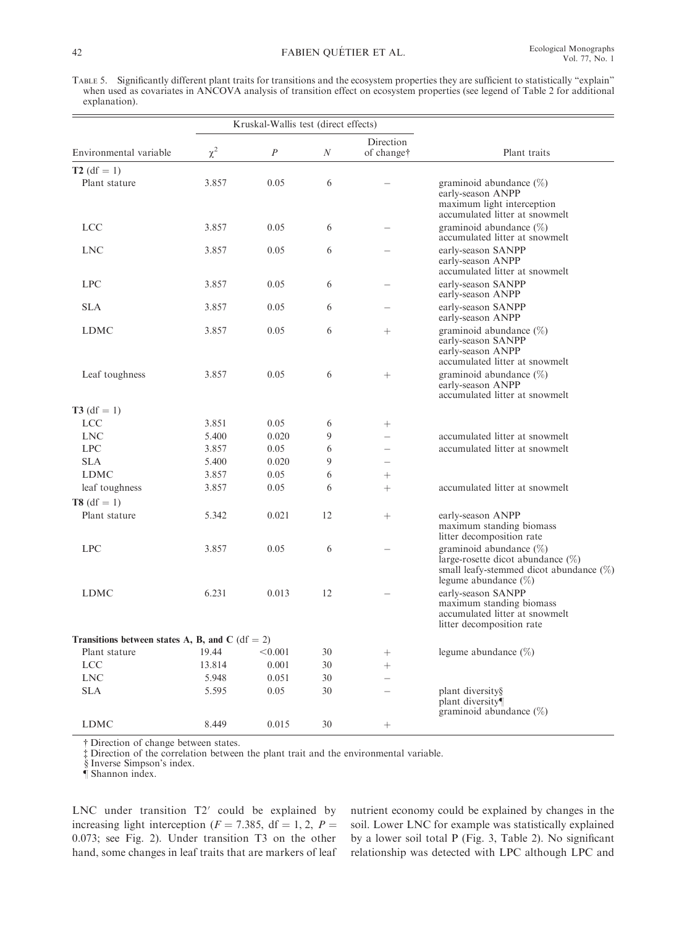TABLE 5. Significantly different plant traits for transitions and the ecosystem properties they are sufficient to statistically ''explain'' when used as covariates in ANCOVA analysis of transition effect on ecosystem properties (see legend of Table 2 for additional explanation).

|                                                     |          | Kruskal-Wallis test (direct effects) |    |                         |                                                                                                                                             |
|-----------------------------------------------------|----------|--------------------------------------|----|-------------------------|---------------------------------------------------------------------------------------------------------------------------------------------|
| Environmental variable                              | $\chi^2$ | $\boldsymbol{P}$                     | N  | Direction<br>of change† | Plant traits                                                                                                                                |
| <b>T2</b> (df = 1)                                  |          |                                      |    |                         |                                                                                                                                             |
| Plant stature                                       | 3.857    | 0.05                                 | 6  |                         | graminoid abundance $(\%)$<br>early-season ANPP<br>maximum light interception<br>accumulated litter at snowmelt                             |
| LCC                                                 | 3.857    | 0.05                                 | 6  |                         | graminoid abundance $(\%)$<br>accumulated litter at snowmelt                                                                                |
| <b>LNC</b>                                          | 3.857    | 0.05                                 | 6  |                         | early-season SANPP<br>early-season ANPP<br>accumulated litter at snowmelt                                                                   |
| <b>LPC</b>                                          | 3.857    | 0.05                                 | 6  |                         | early-season SANPP<br>early-season ANPP                                                                                                     |
| <b>SLA</b>                                          | 3.857    | 0.05                                 | 6  |                         | early-season SANPP<br>early-season ANPP                                                                                                     |
| <b>LDMC</b>                                         | 3.857    | 0.05                                 | 6  | $^{+}$                  | graminoid abundance $(\%)$<br>early-season SANPP<br>early-season ANPP<br>accumulated litter at snowmelt                                     |
| Leaf toughness                                      | 3.857    | 0.05                                 | 6  | $^{+}$                  | graminoid abundance $(\%)$<br>early-season ANPP<br>accumulated litter at snowmelt                                                           |
| <b>T3</b> (df = 1)                                  |          |                                      |    |                         |                                                                                                                                             |
| <b>LCC</b>                                          | 3.851    | 0.05                                 | 6  | $^{+}$                  |                                                                                                                                             |
| <b>LNC</b>                                          | 5.400    | 0.020                                | 9  | $\equiv$                | accumulated litter at snowmelt                                                                                                              |
| <b>LPC</b>                                          | 3.857    | 0.05                                 | 6  |                         | accumulated litter at snowmelt                                                                                                              |
| <b>SLA</b>                                          | 5.400    | 0.020                                | 9  |                         |                                                                                                                                             |
| <b>LDMC</b>                                         | 3.857    | 0.05                                 | 6  | $^{+}$                  |                                                                                                                                             |
| leaf toughness                                      | 3.857    | 0.05                                 | 6  | $^{+}$                  | accumulated litter at snowmelt                                                                                                              |
| <b>T8</b> (df = 1)                                  |          |                                      |    |                         |                                                                                                                                             |
| Plant stature                                       | 5.342    | 0.021                                | 12 | $^{+}$                  | early-season ANPP<br>maximum standing biomass<br>litter decomposition rate                                                                  |
| <b>LPC</b>                                          | 3.857    | 0.05                                 | 6  |                         | graminoid abundance $(\%)$<br>large-rosette dicot abundance $(\%)$<br>small leafy-stemmed dicot abundance $(\%)$<br>legume abundance $(\%)$ |
| <b>LDMC</b>                                         | 6.231    | 0.013                                | 12 |                         | early-season SANPP<br>maximum standing biomass<br>accumulated litter at snowmelt<br>litter decomposition rate                               |
| Transitions between states A, B, and C ( $df = 2$ ) |          |                                      |    |                         |                                                                                                                                             |
| Plant stature                                       | 19.44    | < 0.001                              | 30 | $^+$                    | legume abundance $(\%)$                                                                                                                     |
| <b>LCC</b>                                          | 13.814   | 0.001                                | 30 | $^{+}$                  |                                                                                                                                             |
| <b>LNC</b>                                          | 5.948    | 0.051                                | 30 |                         |                                                                                                                                             |
| <b>SLA</b>                                          | 5.595    | 0.05                                 | 30 |                         | plant diversity§<br>plant diversity<br>graminoid abundance $(\%)$                                                                           |
| <b>LDMC</b>                                         | 8.449    | 0.015                                | 30 | $^{+}$                  |                                                                                                                                             |

Direction of change between states.

- Direction of the correlation between the plant trait and the environmental variable.

§ Inverse Simpson's index.

**Shannon** index.

LNC under transition  $T2'$  could be explained by increasing light interception ( $F = 7.385$ , df = 1, 2, P = 0.073; see Fig. 2). Under transition T3 on the other hand, some changes in leaf traits that are markers of leaf nutrient economy could be explained by changes in the soil. Lower LNC for example was statistically explained by a lower soil total P (Fig. 3, Table 2). No significant relationship was detected with LPC although LPC and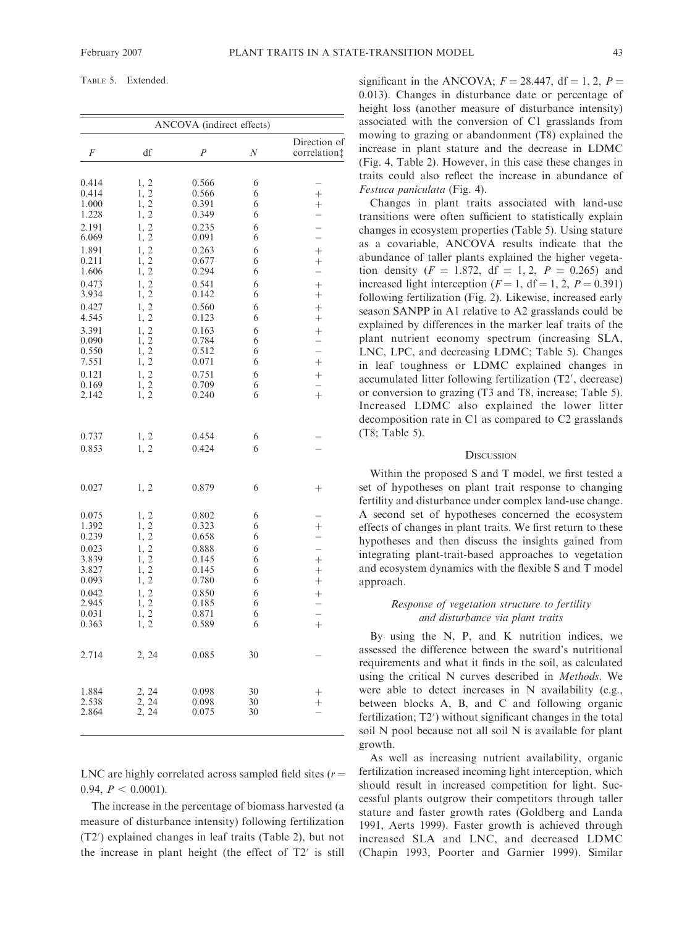TABLE 5. Extended.

|                |       | ANCOVA (indirect effects) |          |                              |  |  |  |  |  |  |
|----------------|-------|---------------------------|----------|------------------------------|--|--|--|--|--|--|
| F              | df    | $\overline{P}$            | N        | Direction of<br>correlation: |  |  |  |  |  |  |
| 0.414          | 1, 2  | 0.566                     | 6        |                              |  |  |  |  |  |  |
| 0.414          | 1, 2  | 0.566                     | 6        | $^{+}$                       |  |  |  |  |  |  |
| 1.000          | 1, 2  | 0.391                     | 6        | $^{+}$                       |  |  |  |  |  |  |
| 1.228          | 1, 2  | 0.349                     | 6        | $\overline{\phantom{0}}$     |  |  |  |  |  |  |
| 2.191          | 1, 2  | 0.235                     | 6        |                              |  |  |  |  |  |  |
| 6.069          | 1, 2  | 0.091                     | 6        |                              |  |  |  |  |  |  |
| 1.891          | 1, 2  | 0.263                     | 6        | $^{+}$                       |  |  |  |  |  |  |
| 0.211          | 1, 2  | 0.677                     | 6        | $^{+}$                       |  |  |  |  |  |  |
| 1.606          | 1, 2  | 0.294                     | 6        |                              |  |  |  |  |  |  |
| 0.473          | 1, 2  | 0.541                     | 6        | $+$                          |  |  |  |  |  |  |
| 3.934          | 1, 2  | 0.142                     | 6        | $^{+}$                       |  |  |  |  |  |  |
| 0.427          | 1, 2  | 0.560                     | 6        | $^{+}$                       |  |  |  |  |  |  |
| 4.545          | 1, 2  | 0.123                     | 6        | $^{+}$                       |  |  |  |  |  |  |
| 3.391          | 1, 2  | 0.163                     | 6        | $^{+}$                       |  |  |  |  |  |  |
| 0.090          | 1, 2  | 0.784                     | 6        |                              |  |  |  |  |  |  |
| 0.550          | 1, 2  | 0.512                     | 6        | $\equiv$                     |  |  |  |  |  |  |
| 7.551          | 1, 2  | 0.071                     | 6        | $\ddot{}$                    |  |  |  |  |  |  |
| 0.121          | 1, 2  | 0.751                     | 6        | $\ddot{}$                    |  |  |  |  |  |  |
| 0.169          | 1, 2  | 0.709                     | 6        | $\equiv$                     |  |  |  |  |  |  |
| 2.142          | 1, 2  | 0.240                     | 6        | $+$                          |  |  |  |  |  |  |
|                |       |                           |          |                              |  |  |  |  |  |  |
| 0.737          | 1, 2  | 0.454                     | 6        |                              |  |  |  |  |  |  |
| 0.853          | 1, 2  | 0.424                     | 6        |                              |  |  |  |  |  |  |
|                |       |                           |          |                              |  |  |  |  |  |  |
| 0.027          | 1, 2  | 0.879                     | 6        | $^{+}$                       |  |  |  |  |  |  |
| 0.075          | 1, 2  | 0.802                     | 6        |                              |  |  |  |  |  |  |
| 1.392          | 1, 2  | 0.323                     | 6        | $^{+}$                       |  |  |  |  |  |  |
| 0.239          | 1, 2  | 0.658                     | 6        |                              |  |  |  |  |  |  |
| 0.023          | 1, 2  | 0.888                     | 6        | $\overline{a}$               |  |  |  |  |  |  |
| 3.839          | 1, 2  | 0.145                     | 6        | $\ddot{}$                    |  |  |  |  |  |  |
| 3.827          | 1, 2  | 0.145                     | 6        | $^{+}$                       |  |  |  |  |  |  |
| 0.093          | 1, 2  | 0.780                     | 6        | $^{+}$                       |  |  |  |  |  |  |
| 0.042          | 1, 2  | 0.850                     | 6        | $\ddot{}$                    |  |  |  |  |  |  |
| 2.945          | 1, 2  | 0.185                     | 6        | —                            |  |  |  |  |  |  |
| 0.031          | 1, 2  | 0.871                     | 6        | $\overline{\phantom{0}}$     |  |  |  |  |  |  |
| 0.363          | 1, 2  | 0.589                     | 6        | $\ddot{}$                    |  |  |  |  |  |  |
| 2.714          | 2, 24 | 0.085                     | 30       |                              |  |  |  |  |  |  |
|                |       |                           |          |                              |  |  |  |  |  |  |
| 1.884          | 2, 24 | 0.098                     | 30       |                              |  |  |  |  |  |  |
| 2.538<br>2.864 | 2, 24 | 0.098<br>0.075            | 30<br>30 | $^{+}$                       |  |  |  |  |  |  |
|                | 2, 24 |                           |          |                              |  |  |  |  |  |  |
|                |       |                           |          |                              |  |  |  |  |  |  |

LNC are highly correlated across sampled field sites  $(r =$ 0.94,  $P < 0.0001$ ).

The increase in the percentage of biomass harvested (a measure of disturbance intensity) following fertilization (T2') explained changes in leaf traits (Table 2), but not the increase in plant height (the effect of  $T2'$  is still

significant in the ANCOVA;  $F = 28.447$ , df = 1, 2, P = 0.013). Changes in disturbance date or percentage of height loss (another measure of disturbance intensity) associated with the conversion of C1 grasslands from mowing to grazing or abandonment (T8) explained the increase in plant stature and the decrease in LDMC (Fig. 4, Table 2). However, in this case these changes in traits could also reflect the increase in abundance of Festuca paniculata (Fig. 4).

Changes in plant traits associated with land-use transitions were often sufficient to statistically explain changes in ecosystem properties (Table 5). Using stature as a covariable, ANCOVA results indicate that the abundance of taller plants explained the higher vegetation density  $(F = 1.872, df = 1, 2, P = 0.265)$  and increased light interception ( $F = 1$ , df = 1, 2,  $P = 0.391$ ) following fertilization (Fig. 2). Likewise, increased early season SANPP in A1 relative to A2 grasslands could be explained by differences in the marker leaf traits of the plant nutrient economy spectrum (increasing SLA, LNC, LPC, and decreasing LDMC; Table 5). Changes in leaf toughness or LDMC explained changes in accumulated litter following fertilization (T2', decrease) or conversion to grazing (T3 and T8, increase; Table 5). Increased LDMC also explained the lower litter decomposition rate in C1 as compared to C2 grasslands (T8; Table 5).

### **DISCUSSION**

Within the proposed S and T model, we first tested a set of hypotheses on plant trait response to changing fertility and disturbance under complex land-use change. A second set of hypotheses concerned the ecosystem effects of changes in plant traits. We first return to these hypotheses and then discuss the insights gained from integrating plant-trait-based approaches to vegetation and ecosystem dynamics with the flexible S and T model approach.

## Response of vegetation structure to fertility and disturbance via plant traits

By using the N, P, and K nutrition indices, we assessed the difference between the sward's nutritional requirements and what it finds in the soil, as calculated using the critical N curves described in Methods. We were able to detect increases in N availability (e.g., between blocks A, B, and C and following organic fertilization; T2') without significant changes in the total soil N pool because not all soil N is available for plant growth.

As well as increasing nutrient availability, organic fertilization increased incoming light interception, which should result in increased competition for light. Successful plants outgrow their competitors through taller stature and faster growth rates (Goldberg and Landa 1991, Aerts 1999). Faster growth is achieved through increased SLA and LNC, and decreased LDMC (Chapin 1993, Poorter and Garnier 1999). Similar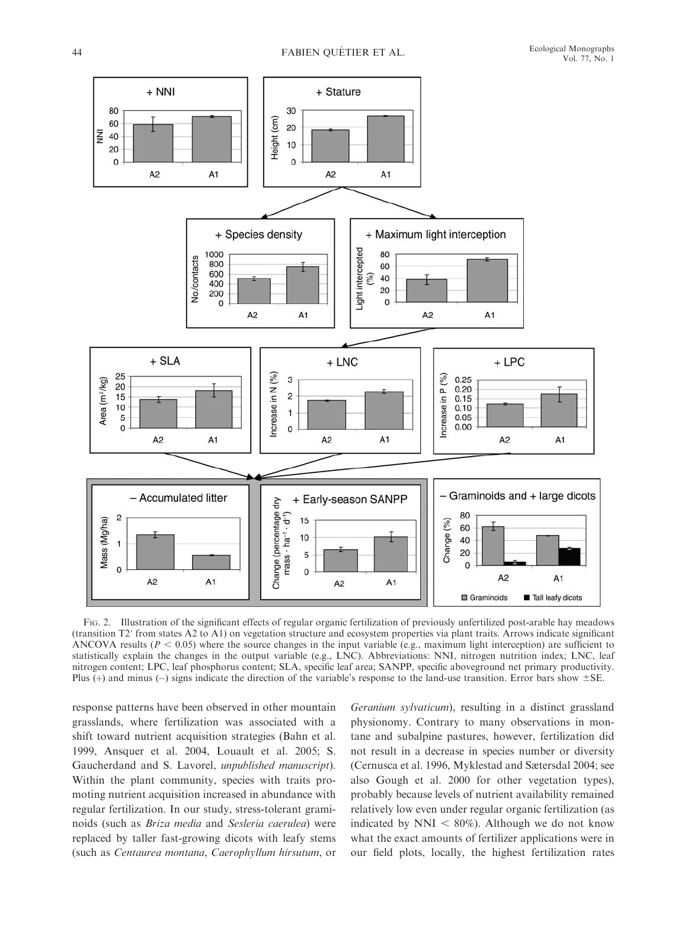

FIG. 2. Illustration of the significant effects of regular organic fertilization of previously unfertilized post-arable hay meadows (transition  $T2'$  from states A2 to A1) on vegetation structure and ecosystem properties via plant traits. Arrows indicate significant ANCOVA results ( $P < 0.05$ ) where the source changes in the input variable (e.g., maximum light interception) are sufficient to statistically explain the changes in the output variable (e.g., LNC). Abbreviations: NNI, nitrogen nutrition index; LNC, leaf nitrogen content; LPC, leaf phosphorus content; SLA, specific leaf area; SANPP, specific aboveground net primary productivity. Plus (+) and minus (-) signs indicate the direction of the variable's response to the land-use transition. Error bars show  $\pm$ SE.

response patterns have been observed in other mountain grasslands, where fertilization was associated with a shift toward nutrient acquisition strategies (Bahn et al. 1999, Ansquer et al. 2004, Louault et al. 2005; S. Gaucherdand and S. Lavorel, unpublished manuscript). Within the plant community, species with traits promoting nutrient acquisition increased in abundance with regular fertilization. In our study, stress-tolerant graminoids (such as Briza media and Sesleria caerulea) were replaced by taller fast-growing dicots with leafy stems (such as Centaurea montana, Caerophyllum hirsutum, or Geranium sylvaticum), resulting in a distinct grassland physionomy. Contrary to many observations in montane and subalpine pastures, however, fertilization did not result in a decrease in species number or diversity (Cernusca et al. 1996, Myklestad and Sætersdal 2004; see also Gough et al. 2000 for other vegetation types), probably because levels of nutrient availability remained relatively low even under regular organic fertilization (as indicated by  $NNI < 80\%$ ). Although we do not know what the exact amounts of fertilizer applications were in our field plots, locally, the highest fertilization rates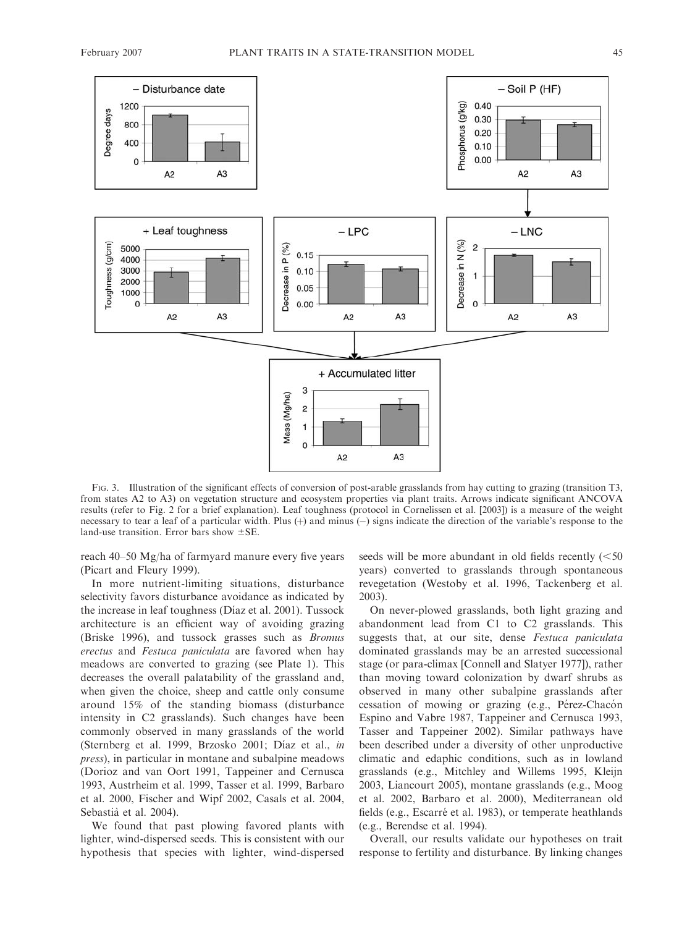

FIG. 3. Illustration of the significant effects of conversion of post-arable grasslands from hay cutting to grazing (transition T3, from states A2 to A3) on vegetation structure and ecosystem properties via plant traits. Arrows indicate significant ANCOVA results (refer to Fig. 2 for a brief explanation). Leaf toughness (protocol in Cornelissen et al. [2003]) is a measure of the weight necessary to tear a leaf of a particular width. Plus  $(+)$  and minus  $(-)$  signs indicate the direction of the variable's response to the land-use transition. Error bars show  $\pm$ SE.

reach 40–50 Mg/ha of farmyard manure every five years (Picart and Fleury 1999).

In more nutrient-limiting situations, disturbance selectivity favors disturbance avoidance as indicated by the increase in leaf toughness (Díaz et al. 2001). Tussock architecture is an efficient way of avoiding grazing (Briske 1996), and tussock grasses such as Bromus erectus and Festuca paniculata are favored when hay meadows are converted to grazing (see Plate 1). This decreases the overall palatability of the grassland and, when given the choice, sheep and cattle only consume around 15% of the standing biomass (disturbance intensity in C2 grasslands). Such changes have been commonly observed in many grasslands of the world (Sternberg et al. 1999, Brzosko 2001; Díaz et al., in press), in particular in montane and subalpine meadows (Dorioz and van Oort 1991, Tappeiner and Cernusca 1993, Austrheim et al. 1999, Tasser et al. 1999, Barbaro et al. 2000, Fischer and Wipf 2002, Casals et al. 2004, Sebastià et al. 2004).

We found that past plowing favored plants with lighter, wind-dispersed seeds. This is consistent with our hypothesis that species with lighter, wind-dispersed seeds will be more abundant in old fields recently  $(<50$ years) converted to grasslands through spontaneous revegetation (Westoby et al. 1996, Tackenberg et al. 2003).

On never-plowed grasslands, both light grazing and abandonment lead from C1 to C2 grasslands. This suggests that, at our site, dense Festuca paniculata dominated grasslands may be an arrested successional stage (or para-climax [Connell and Slatyer 1977]), rather than moving toward colonization by dwarf shrubs as observed in many other subalpine grasslands after cessation of mowing or grazing (e.g., Pérez-Chacón Espino and Vabre 1987, Tappeiner and Cernusca 1993, Tasser and Tappeiner 2002). Similar pathways have been described under a diversity of other unproductive climatic and edaphic conditions, such as in lowland grasslands (e.g., Mitchley and Willems 1995, Kleijn 2003, Liancourt 2005), montane grasslands (e.g., Moog et al. 2002, Barbaro et al. 2000), Mediterranean old fields (e.g., Escarré et al. 1983), or temperate heathlands (e.g., Berendse et al. 1994).

Overall, our results validate our hypotheses on trait response to fertility and disturbance. By linking changes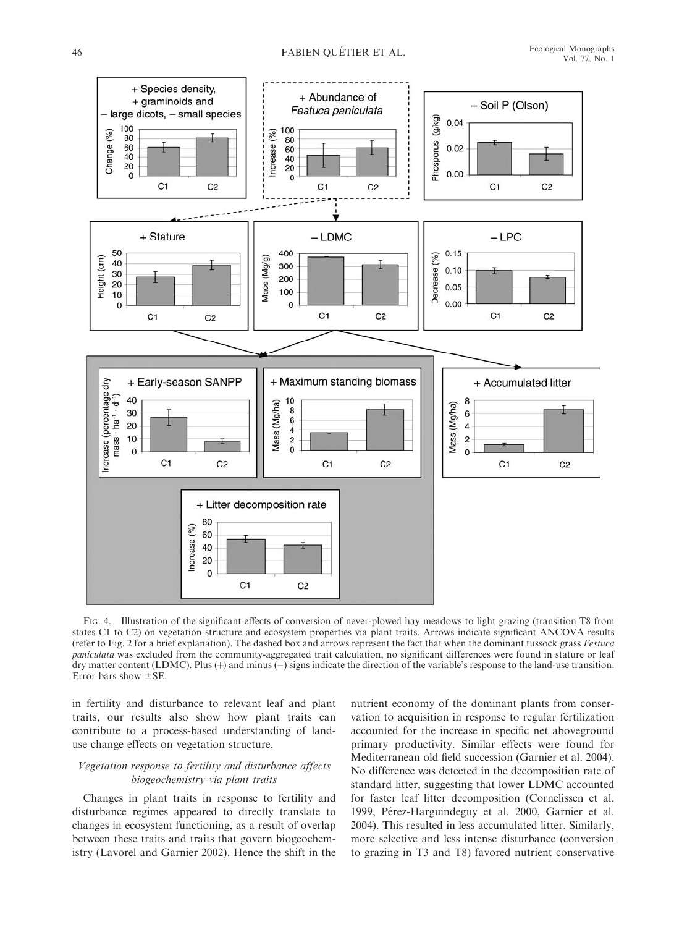

FIG. 4. Illustration of the significant effects of conversion of never-plowed hay meadows to light grazing (transition T8 from states C1 to C2) on vegetation structure and ecosystem properties via plant traits. Arrows indicate significant ANCOVA results (refer to Fig. 2 for a brief explanation). The dashed box and arrows represent the fact that when the dominant tussock grass Festuca paniculata was excluded from the community-aggregated trait calculation, no significant differences were found in stature or leaf dry matter content (LDMC). Plus  $(+)$  and minus  $(-)$  signs indicate the direction of the variable's response to the land-use transition. Error bars show  $\pm$ SE.

in fertility and disturbance to relevant leaf and plant traits, our results also show how plant traits can contribute to a process-based understanding of landuse change effects on vegetation structure.

## Vegetation response to fertility and disturbance affects biogeochemistry via plant traits

Changes in plant traits in response to fertility and disturbance regimes appeared to directly translate to changes in ecosystem functioning, as a result of overlap between these traits and traits that govern biogeochemistry (Lavorel and Garnier 2002). Hence the shift in the nutrient economy of the dominant plants from conservation to acquisition in response to regular fertilization accounted for the increase in specific net aboveground primary productivity. Similar effects were found for Mediterranean old field succession (Garnier et al. 2004). No difference was detected in the decomposition rate of standard litter, suggesting that lower LDMC accounted for faster leaf litter decomposition (Cornelissen et al. 1999, Pérez-Harguindeguy et al. 2000, Garnier et al. 2004). This resulted in less accumulated litter. Similarly, more selective and less intense disturbance (conversion to grazing in T3 and T8) favored nutrient conservative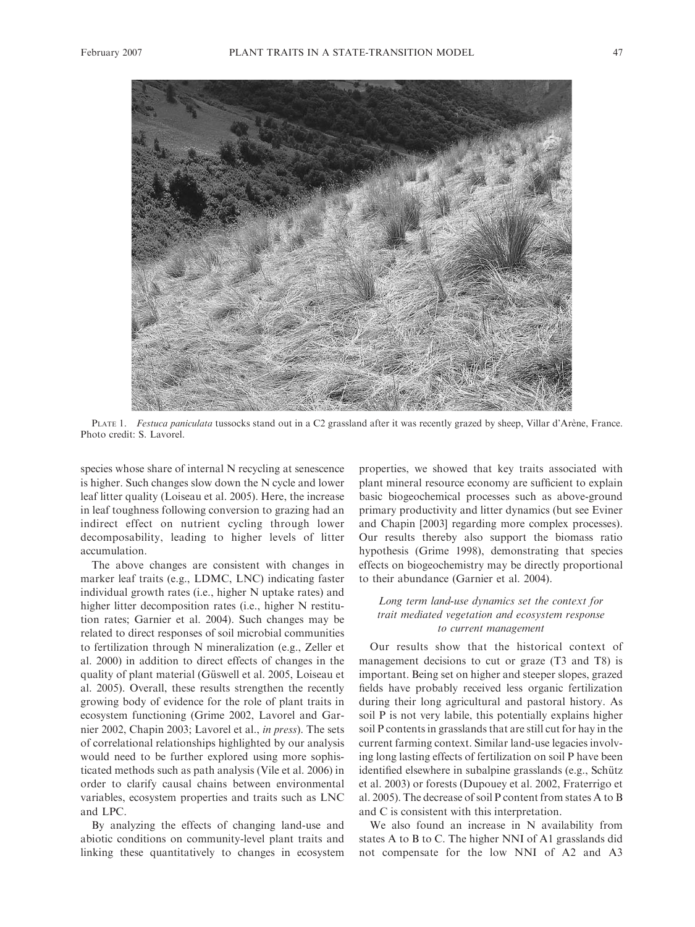

PLATE 1. Festuca paniculata tussocks stand out in a C2 grassland after it was recently grazed by sheep, Villar d'Arène, France. Photo credit: S. Lavorel.

species whose share of internal N recycling at senescence is higher. Such changes slow down the N cycle and lower leaf litter quality (Loiseau et al. 2005). Here, the increase in leaf toughness following conversion to grazing had an indirect effect on nutrient cycling through lower decomposability, leading to higher levels of litter accumulation.

The above changes are consistent with changes in marker leaf traits (e.g., LDMC, LNC) indicating faster individual growth rates (i.e., higher N uptake rates) and higher litter decomposition rates (i.e., higher N restitution rates; Garnier et al. 2004). Such changes may be related to direct responses of soil microbial communities to fertilization through N mineralization (e.g., Zeller et al. 2000) in addition to direct effects of changes in the quality of plant material (Güswell et al. 2005, Loiseau et al. 2005). Overall, these results strengthen the recently growing body of evidence for the role of plant traits in ecosystem functioning (Grime 2002, Lavorel and Garnier 2002, Chapin 2003; Lavorel et al., in press). The sets of correlational relationships highlighted by our analysis would need to be further explored using more sophisticated methods such as path analysis (Vile et al. 2006) in order to clarify causal chains between environmental variables, ecosystem properties and traits such as LNC and LPC.

By analyzing the effects of changing land-use and abiotic conditions on community-level plant traits and linking these quantitatively to changes in ecosystem properties, we showed that key traits associated with plant mineral resource economy are sufficient to explain basic biogeochemical processes such as above-ground primary productivity and litter dynamics (but see Eviner and Chapin [2003] regarding more complex processes). Our results thereby also support the biomass ratio hypothesis (Grime 1998), demonstrating that species effects on biogeochemistry may be directly proportional to their abundance (Garnier et al. 2004).

## Long term land-use dynamics set the context for trait mediated vegetation and ecosystem response to current management

Our results show that the historical context of management decisions to cut or graze (T3 and T8) is important. Being set on higher and steeper slopes, grazed fields have probably received less organic fertilization during their long agricultural and pastoral history. As soil P is not very labile, this potentially explains higher soil P contents in grasslands that are still cut for hay in the current farming context. Similar land-use legacies involving long lasting effects of fertilization on soil P have been identified elsewhere in subalpine grasslands (e.g., Schütz et al. 2003) or forests (Dupouey et al. 2002, Fraterrigo et al. 2005). The decrease of soil P content from states A to B and C is consistent with this interpretation.

We also found an increase in N availability from states A to B to C. The higher NNI of A1 grasslands did not compensate for the low NNI of A2 and A3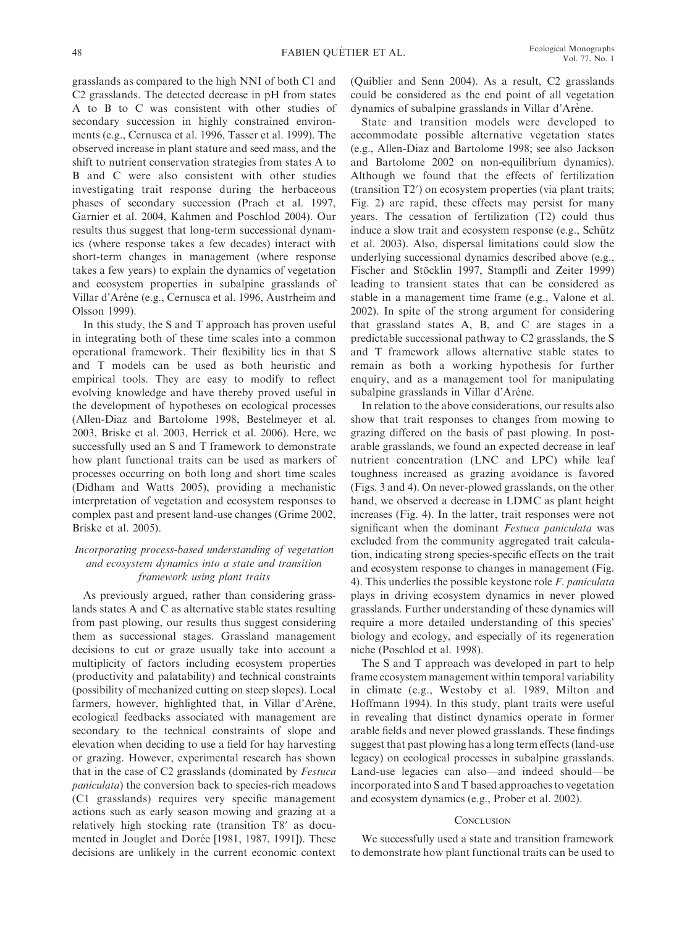grasslands as compared to the high NNI of both C1 and C2 grasslands. The detected decrease in pH from states A to B to C was consistent with other studies of secondary succession in highly constrained environments (e.g., Cernusca et al. 1996, Tasser et al. 1999). The observed increase in plant stature and seed mass, and the shift to nutrient conservation strategies from states A to B and C were also consistent with other studies investigating trait response during the herbaceous phases of secondary succession (Prach et al. 1997, Garnier et al. 2004, Kahmen and Poschlod 2004). Our results thus suggest that long-term successional dynamics (where response takes a few decades) interact with short-term changes in management (where response takes a few years) to explain the dynamics of vegetation and ecosystem properties in subalpine grasslands of Villar d'Arène (e.g., Cernusca et al. 1996, Austrheim and Olsson 1999).

In this study, the S and T approach has proven useful in integrating both of these time scales into a common operational framework. Their flexibility lies in that S and T models can be used as both heuristic and empirical tools. They are easy to modify to reflect evolving knowledge and have thereby proved useful in the development of hypotheses on ecological processes (Allen-Diaz and Bartolome 1998, Bestelmeyer et al. 2003, Briske et al. 2003, Herrick et al. 2006). Here, we successfully used an S and T framework to demonstrate how plant functional traits can be used as markers of processes occurring on both long and short time scales (Didham and Watts 2005), providing a mechanistic interpretation of vegetation and ecosystem responses to complex past and present land-use changes (Grime 2002, Briske et al. 2005).

# Incorporating process-based understanding of vegetation and ecosystem dynamics into a state and transition framework using plant traits

As previously argued, rather than considering grasslands states A and C as alternative stable states resulting from past plowing, our results thus suggest considering them as successional stages. Grassland management decisions to cut or graze usually take into account a multiplicity of factors including ecosystem properties (productivity and palatability) and technical constraints (possibility of mechanized cutting on steep slopes). Local farmers, however, highlighted that, in Villar d'Arène, ecological feedbacks associated with management are secondary to the technical constraints of slope and elevation when deciding to use a field for hay harvesting or grazing. However, experimental research has shown that in the case of C2 grasslands (dominated by Festuca paniculata) the conversion back to species-rich meadows (C1 grasslands) requires very specific management actions such as early season mowing and grazing at a relatively high stocking rate (transition T8<sup>'</sup> as documented in Jouglet and Dorée [1981, 1987, 1991]). These decisions are unlikely in the current economic context (Quiblier and Senn 2004). As a result, C2 grasslands could be considered as the end point of all vegetation dynamics of subalpine grasslands in Villar d'Arène.

State and transition models were developed to accommodate possible alternative vegetation states (e.g., Allen-Diaz and Bartolome 1998; see also Jackson and Bartolome 2002 on non-equilibrium dynamics). Although we found that the effects of fertilization (transition T2') on ecosystem properties (via plant traits; Fig. 2) are rapid, these effects may persist for many years. The cessation of fertilization (T2) could thus induce a slow trait and ecosystem response (e.g., Schütz et al. 2003). Also, dispersal limitations could slow the underlying successional dynamics described above (e.g., Fischer and Stöcklin 1997, Stampfli and Zeiter 1999) leading to transient states that can be considered as stable in a management time frame (e.g., Valone et al. 2002). In spite of the strong argument for considering that grassland states A, B, and C are stages in a predictable successional pathway to C2 grasslands, the S and T framework allows alternative stable states to remain as both a working hypothesis for further enquiry, and as a management tool for manipulating subalpine grasslands in Villar d'Arène.

In relation to the above considerations, our results also show that trait responses to changes from mowing to grazing differed on the basis of past plowing. In postarable grasslands, we found an expected decrease in leaf nutrient concentration (LNC and LPC) while leaf toughness increased as grazing avoidance is favored (Figs. 3 and 4). On never-plowed grasslands, on the other hand, we observed a decrease in LDMC as plant height increases (Fig. 4). In the latter, trait responses were not significant when the dominant Festuca paniculata was excluded from the community aggregated trait calculation, indicating strong species-specific effects on the trait and ecosystem response to changes in management (Fig. 4). This underlies the possible keystone role  $F$ . paniculata plays in driving ecosystem dynamics in never plowed grasslands. Further understanding of these dynamics will require a more detailed understanding of this species' biology and ecology, and especially of its regeneration niche (Poschlod et al. 1998).

The S and T approach was developed in part to help frame ecosystem management within temporal variability in climate (e.g., Westoby et al. 1989, Milton and Hoffmann 1994). In this study, plant traits were useful in revealing that distinct dynamics operate in former arable fields and never plowed grasslands. These findings suggest that past plowing has a long term effects (land-use legacy) on ecological processes in subalpine grasslands. Land-use legacies can also—and indeed should—be incorporated into S and T based approaches to vegetation and ecosystem dynamics (e.g., Prober et al. 2002).

#### **CONCLUSION**

We successfully used a state and transition framework to demonstrate how plant functional traits can be used to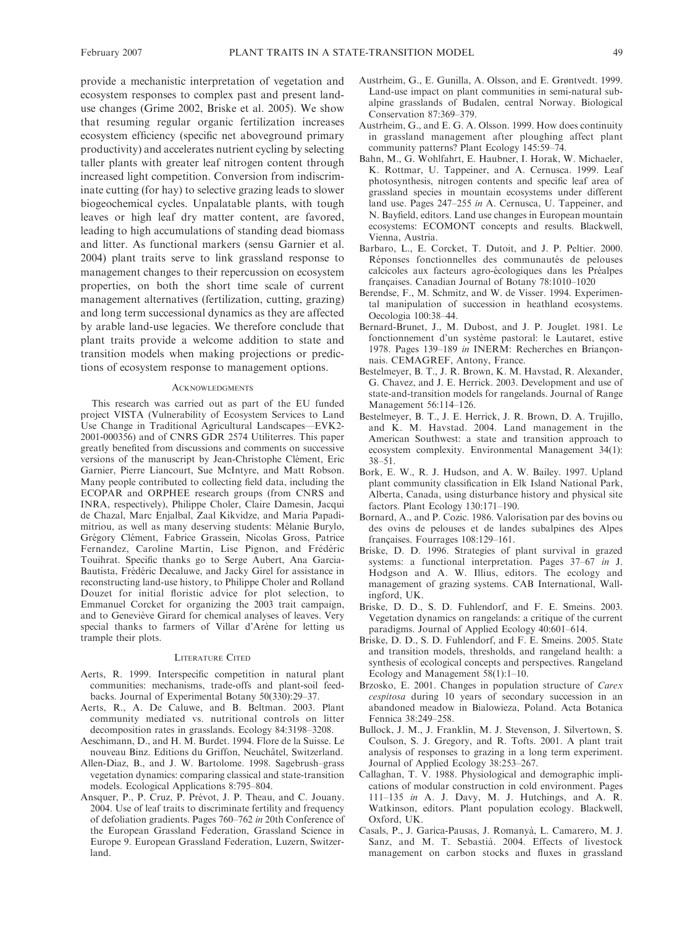provide a mechanistic interpretation of vegetation and ecosystem responses to complex past and present landuse changes (Grime 2002, Briske et al. 2005). We show that resuming regular organic fertilization increases ecosystem efficiency (specific net aboveground primary productivity) and accelerates nutrient cycling by selecting taller plants with greater leaf nitrogen content through increased light competition. Conversion from indiscriminate cutting (for hay) to selective grazing leads to slower biogeochemical cycles. Unpalatable plants, with tough leaves or high leaf dry matter content, are favored, leading to high accumulations of standing dead biomass and litter. As functional markers (sensu Garnier et al. 2004) plant traits serve to link grassland response to management changes to their repercussion on ecosystem properties, on both the short time scale of current management alternatives (fertilization, cutting, grazing) and long term successional dynamics as they are affected by arable land-use legacies. We therefore conclude that plant traits provide a welcome addition to state and

# transition models when making projections or predictions of ecosystem response to management options.

#### **ACKNOWLEDGMENTS**

This research was carried out as part of the EU funded project VISTA (Vulnerability of Ecosystem Services to Land Use Change in Traditional Agricultural Landscapes—EVK2- 2001-000356) and of CNRS GDR 2574 Utiliterres. This paper greatly benefited from discussions and comments on successive versions of the manuscript by Jean-Christophe Clément, Eric Garnier, Pierre Liancourt, Sue McIntyre, and Matt Robson. Many people contributed to collecting field data, including the ECOPAR and ORPHEE research groups (from CNRS and INRA, respectively), Philippe Choler, Claire Damesin, Jacqui de Chazal, Marc Enjalbal, Zaal Kikvidze, and Maria Papadimitriou, as well as many deserving students: Mélanie Burylo, Grégory Clément, Fabrice Grassein, Nicolas Gross, Patrice Fernandez, Caroline Martin, Lise Pignon, and Frédéric Touihrat. Specific thanks go to Serge Aubert, Ana Garcia-Bautista, Frédéric Decaluwe, and Jacky Girel for assistance in reconstructing land-use history, to Philippe Choler and Rolland Douzet for initial floristic advice for plot selection, to Emmanuel Corcket for organizing the 2003 trait campaign, and to Geneviève Girard for chemical analyses of leaves. Very special thanks to farmers of Villar d'Arène for letting us trample their plots.

#### LITERATURE CITED

- Aerts, R. 1999. Interspecific competition in natural plant communities: mechanisms, trade-offs and plant-soil feedbacks. Journal of Experimental Botany 50(330):29–37.
- Aerts, R., A. De Caluwe, and B. Beltman. 2003. Plant community mediated vs. nutritional controls on litter decomposition rates in grasslands. Ecology 84:3198–3208.
- Aeschimann, D., and H. M. Burdet. 1994. Flore de la Suisse. Le nouveau Binz. Editions du Griffon, Neuchâtel, Switzerland.
- Allen-Diaz, B., and J. W. Bartolome. 1998. Sagebrush–grass vegetation dynamics: comparing classical and state-transition models. Ecological Applications 8:795–804.
- Ansquer, P., P. Cruz, P. Prévot, J. P. Theau, and C. Jouany. 2004. Use of leaf traits to discriminate fertility and frequency of defoliation gradients. Pages 760–762 in 20th Conference of the European Grassland Federation, Grassland Science in Europe 9. European Grassland Federation, Luzern, Switzerland.
- Austrheim, G., E. Gunilla, A. Olsson, and E. Grøntvedt. 1999. Land-use impact on plant communities in semi-natural subalpine grasslands of Budalen, central Norway. Biological Conservation 87:369–379.
- Austrheim, G., and E. G. A. Olsson. 1999. How does continuity in grassland management after ploughing affect plant community patterns? Plant Ecology 145:59–74.
- Bahn, M., G. Wohlfahrt, E. Haubner, I. Horak, W. Michaeler, K. Rottmar, U. Tappeiner, and A. Cernusca. 1999. Leaf photosynthesis, nitrogen contents and specific leaf area of grassland species in mountain ecosystems under different land use. Pages 247–255 in A. Cernusca, U. Tappeiner, and N. Bayfield, editors. Land use changes in European mountain ecosystems: ECOMONT concepts and results. Blackwell, Vienna, Austria.
- Barbaro, L., E. Corcket, T. Dutoit, and J. P. Peltier. 2000. Réponses fonctionnelles des communautés de pelouses calcicoles aux facteurs agro-écologiques dans les Préalpes françaises. Canadian Journal of Botany 78:1010-1020
- Berendse, F., M. Schmitz, and W. de Visser. 1994. Experimental manipulation of succession in heathland ecosystems. Oecologia 100:38–44.
- Bernard-Brunet, J., M. Dubost, and J. P. Jouglet. 1981. Le fonctionnement d'un système pastoral: le Lautaret, estive 1978. Pages 139–189 in INERM: Recherches en Brianconnais. CEMAGREF, Antony, France.
- Bestelmeyer, B. T., J. R. Brown, K. M. Havstad, R. Alexander, G. Chavez, and J. E. Herrick. 2003. Development and use of state-and-transition models for rangelands. Journal of Range Management 56:114–126.
- Bestelmeyer, B. T., J. E. Herrick, J. R. Brown, D. A. Trujillo, and K. M. Havstad. 2004. Land management in the American Southwest: a state and transition approach to ecosystem complexity. Environmental Management 34(1): 38–51.
- Bork, E. W., R. J. Hudson, and A. W. Bailey. 1997. Upland plant community classification in Elk Island National Park, Alberta, Canada, using disturbance history and physical site factors. Plant Ecology 130:171–190.
- Bornard, A., and P. Cozic. 1986. Valorisation par des bovins ou des ovins de pelouses et de landes subalpines des Alpes françaises. Fourrages 108:129-161.
- Briske, D. D. 1996. Strategies of plant survival in grazed systems: a functional interpretation. Pages 37–67 in J. Hodgson and A. W. Illius, editors. The ecology and management of grazing systems. CAB International, Wallingford, UK.
- Briske, D. D., S. D. Fuhlendorf, and F. E. Smeins. 2003. Vegetation dynamics on rangelands: a critique of the current paradigms. Journal of Applied Ecology 40:601–614.
- Briske, D. D., S. D. Fuhlendorf, and F. E. Smeins. 2005. State and transition models, thresholds, and rangeland health: a synthesis of ecological concepts and perspectives. Rangeland Ecology and Management 58(1):1–10.
- Brzosko, E. 2001. Changes in population structure of Carex cespitosa during 10 years of secondary succession in an abandoned meadow in Bialowieza, Poland. Acta Botanica Fennica 38:249–258.
- Bullock, J. M., J. Franklin, M. J. Stevenson, J. Silvertown, S. Coulson, S. J. Gregory, and R. Tofts. 2001. A plant trait analysis of responses to grazing in a long term experiment. Journal of Applied Ecology 38:253–267.
- Callaghan, T. V. 1988. Physiological and demographic implications of modular construction in cold environment. Pages 111–135 in A. J. Davy, M. J. Hutchings, and A. R. Watkinson, editors. Plant population ecology. Blackwell, Oxford, UK.
- Casals, P., J. Garica-Pausas, J. Romanya`, L. Camarero, M. J. Sanz, and M. T. Sebastià. 2004. Effects of livestock management on carbon stocks and fluxes in grassland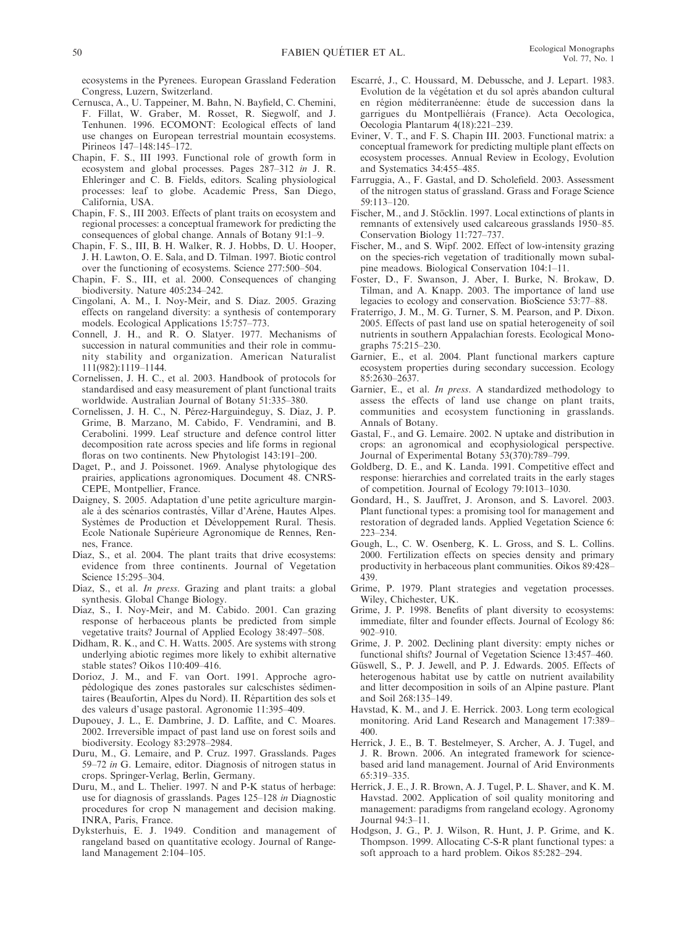ecosystems in the Pyrenees. European Grassland Federation Congress, Luzern, Switzerland.

- Cernusca, A., U. Tappeiner, M. Bahn, N. Bayfield, C. Chemini, F. Fillat, W. Graber, M. Rosset, R. Siegwolf, and J. Tenhunen. 1996. ECOMONT: Ecological effects of land use changes on European terrestrial mountain ecosystems. Pirineos 147–148:145–172.
- Chapin, F. S., III 1993. Functional role of growth form in ecosystem and global processes. Pages 287–312 in J. R. Ehleringer and C. B. Fields, editors. Scaling physiological processes: leaf to globe. Academic Press, San Diego, California, USA.
- Chapin, F. S., III 2003. Effects of plant traits on ecosystem and regional processes: a conceptual framework for predicting the consequences of global change. Annals of Botany 91:1–9.
- Chapin, F. S., III, B. H. Walker, R. J. Hobbs, D. U. Hooper, J. H. Lawton, O. E. Sala, and D. Tilman. 1997. Biotic control over the functioning of ecosystems. Science 277:500–504.
- Chapin, F. S., III, et al. 2000. Consequences of changing biodiversity. Nature 405:234–242.
- Cingolani, A. M., I. Noy-Meir, and S. Díaz. 2005. Grazing effects on rangeland diversity: a synthesis of contemporary models. Ecological Applications 15:757–773.
- Connell, J. H., and R. O. Slatyer. 1977. Mechanisms of succession in natural communities and their role in community stability and organization. American Naturalist 111(982):1119–1144.
- Cornelissen, J. H. C., et al. 2003. Handbook of protocols for standardised and easy measurement of plant functional traits worldwide. Australian Journal of Botany 51:335–380.
- Cornelissen, J. H. C., N. Pérez-Harguindeguy, S. Díaz, J. P. Grime, B. Marzano, M. Cabido, F. Vendramini, and B. Cerabolini. 1999. Leaf structure and defence control litter decomposition rate across species and life forms in regional floras on two continents. New Phytologist 143:191–200.
- Daget, P., and J. Poissonet. 1969. Analyse phytologique des prairies, applications agronomiques. Document 48. CNRS-CEPE, Montpellier, France.
- Daigney, S. 2005. Adaptation d'une petite agriculture marginale à des scénarios contrastés, Villar d'Arène, Hautes Alpes. Systèmes de Production et Développement Rural. Thesis. Ecole Nationale Supérieure Agronomique de Rennes, Rennes, France.
- Díaz, S., et al. 2004. The plant traits that drive ecosystems: evidence from three continents. Journal of Vegetation Science 15:295–304.
- Díaz, S., et al. In press. Grazing and plant traits: a global synthesis. Global Change Biology.
- Díaz, S., I. Noy-Meir, and M. Cabido. 2001. Can grazing response of herbaceous plants be predicted from simple vegetative traits? Journal of Applied Ecology 38:497–508.
- Didham, R. K., and C. H. Watts. 2005. Are systems with strong underlying abiotic regimes more likely to exhibit alternative stable states? Oikos 110:409–416.
- Dorioz, J. M., and F. van Oort. 1991. Approche agropédologique des zones pastorales sur calcschistes sédimentaires (Beaufortin, Alpes du Nord). II. Répartition des sols et des valeurs d'usage pastoral. Agronomie 11:395–409.
- Dupouey, J. L., E. Dambrine, J. D. Laffite, and C. Moares. 2002. Irreversible impact of past land use on forest soils and biodiversity. Ecology 83:2978–2984.
- Duru, M., G. Lemaire, and P. Cruz. 1997. Grasslands. Pages 59–72 in G. Lemaire, editor. Diagnosis of nitrogen status in crops. Springer-Verlag, Berlin, Germany.
- Duru, M., and L. Thelier. 1997. N and P-K status of herbage: use for diagnosis of grasslands. Pages 125–128 in Diagnostic procedures for crop N management and decision making. INRA, Paris, France.
- Dyksterhuis, E. J. 1949. Condition and management of rangeland based on quantitative ecology. Journal of Rangeland Management 2:104–105.
- Escarré, J., C. Houssard, M. Debussche, and J. Lepart. 1983. Evolution de la végétation et du sol après abandon cultural en région méditerranéenne: étude de succession dans la garrigues du Montpelliérais (France). Acta Oecologica, Oecologia Plantarum 4(18):221–239.
- Eviner, V. T., and F. S. Chapin III. 2003. Functional matrix: a conceptual framework for predicting multiple plant effects on ecosystem processes. Annual Review in Ecology, Evolution and Systematics 34:455–485.
- Farruggia, A., F. Gastal, and D. Scholefield. 2003. Assessment of the nitrogen status of grassland. Grass and Forage Science 59:113–120.
- Fischer, M., and J. Stöcklin. 1997. Local extinctions of plants in remnants of extensively used calcareous grasslands 1950–85. Conservation Biology 11:727–737.
- Fischer, M., and S. Wipf. 2002. Effect of low-intensity grazing on the species-rich vegetation of traditionally mown subalpine meadows. Biological Conservation 104:1–11.
- Foster, D., F. Swanson, J. Aber, I. Burke, N. Brokaw, D. Tilman, and A. Knapp. 2003. The importance of land use legacies to ecology and conservation. BioScience 53:77–88.
- Fraterrigo, J. M., M. G. Turner, S. M. Pearson, and P. Dixon. 2005. Effects of past land use on spatial heterogeneity of soil nutrients in southern Appalachian forests. Ecological Monographs 75:215–230.
- Garnier, E., et al. 2004. Plant functional markers capture ecosystem properties during secondary succession. Ecology 85:2630–2637.
- Garnier, E., et al. In press. A standardized methodology to assess the effects of land use change on plant traits, communities and ecosystem functioning in grasslands. Annals of Botany.
- Gastal, F., and G. Lemaire. 2002. N uptake and distribution in crops: an agronomical and ecophysiological perspective. Journal of Experimental Botany 53(370):789–799.
- Goldberg, D. E., and K. Landa. 1991. Competitive effect and response: hierarchies and correlated traits in the early stages of competition. Journal of Ecology 79:1013–1030.
- Gondard, H., S. Jauffret, J. Aronson, and S. Lavorel. 2003. Plant functional types: a promising tool for management and restoration of degraded lands. Applied Vegetation Science 6: 223–234.
- Gough, L., C. W. Osenberg, K. L. Gross, and S. L. Collins. 2000. Fertilization effects on species density and primary productivity in herbaceous plant communities. Oikos 89:428– 439.
- Grime, P. 1979. Plant strategies and vegetation processes. Wiley, Chichester, UK.
- Grime, J. P. 1998. Benefits of plant diversity to ecosystems: immediate, filter and founder effects. Journal of Ecology 86: 902–910.
- Grime, J. P. 2002. Declining plant diversity: empty niches or functional shifts? Journal of Vegetation Science 13:457–460.
- Güswell, S., P. J. Jewell, and P. J. Edwards. 2005. Effects of heterogenous habitat use by cattle on nutrient availability and litter decomposition in soils of an Alpine pasture. Plant and Soil 268:135–149.
- Havstad, K. M., and J. E. Herrick. 2003. Long term ecological monitoring. Arid Land Research and Management 17:389– 400.
- Herrick, J. E., B. T. Bestelmeyer, S. Archer, A. J. Tugel, and J. R. Brown. 2006. An integrated framework for sciencebased arid land management. Journal of Arid Environments 65:319–335.
- Herrick, J. E., J. R. Brown, A. J. Tugel, P. L. Shaver, and K. M. Havstad. 2002. Application of soil quality monitoring and management: paradigms from rangeland ecology. Agronomy Journal 94:3–11.
- Hodgson, J. G., P. J. Wilson, R. Hunt, J. P. Grime, and K. Thompson. 1999. Allocating C-S-R plant functional types: a soft approach to a hard problem. Oikos 85:282–294.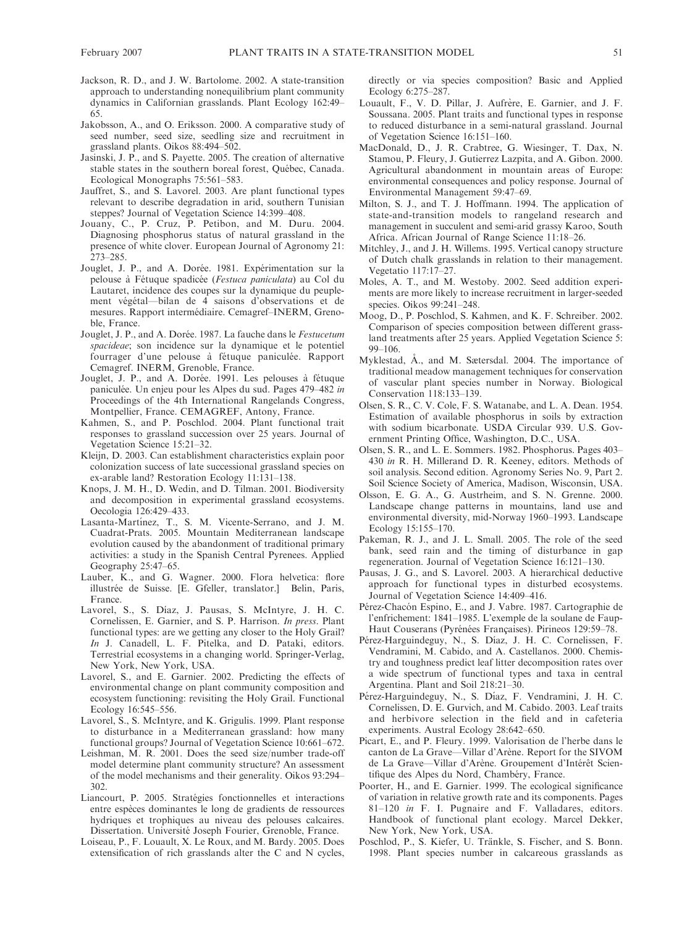- Jackson, R. D., and J. W. Bartolome. 2002. A state-transition approach to understanding nonequilibrium plant community dynamics in Californian grasslands. Plant Ecology 162:49– 65.
- Jakobsson, A., and O. Eriksson. 2000. A comparative study of seed number, seed size, seedling size and recruitment in grassland plants. Oikos 88:494–502.
- Jasinski, J. P., and S. Payette. 2005. The creation of alternative stable states in the southern boreal forest, Québec, Canada. Ecological Monographs 75:561–583.
- Jauffret, S., and S. Lavorel. 2003. Are plant functional types relevant to describe degradation in arid, southern Tunisian steppes? Journal of Vegetation Science 14:399–408.
- Jouany, C., P. Cruz, P. Petibon, and M. Duru. 2004. Diagnosing phosphorus status of natural grassland in the presence of white clover. European Journal of Agronomy 21:  $273 - 285$ .
- Jouglet, J. P., and A. Dorée. 1981. Expérimentation sur la pelouse à Fétuque spadicée (Festuca paniculata) au Col du Lautaret, incidence des coupes sur la dynamique du peuplement végétal-bilan de 4 saisons d'observations et de mesures. Rapport intermédiaire. Cemagref-INERM, Grenoble, France.
- Jouglet, J. P., and A. Dorée. 1987. La fauche dans le Festucetum spacideae; son incidence sur la dynamique et le potentiel fourrager d'une pelouse à fétuque paniculée. Rapport Cemagref. INERM, Grenoble, France.
- Jouglet, J. P., and A. Dorée. 1991. Les pelouses à fétuque paniculée. Un enjeu pour les Alpes du sud. Pages 479–482 in Proceedings of the 4th International Rangelands Congress, Montpellier, France. CEMAGREF, Antony, France.
- Kahmen, S., and P. Poschlod. 2004. Plant functional trait responses to grassland succession over 25 years. Journal of Vegetation Science 15:21–32.
- Kleijn, D. 2003. Can establishment characteristics explain poor colonization success of late successional grassland species on ex-arable land? Restoration Ecology 11:131–138.
- Knops, J. M. H., D. Wedin, and D. Tilman. 2001. Biodiversity and decomposition in experimental grassland ecosystems. Oecologia 126:429–433.
- Lasanta-Martínez, T., S. M. Vicente-Serrano, and J. M. Cuadrat-Prats. 2005. Mountain Mediterranean landscape evolution caused by the abandonment of traditional primary activities: a study in the Spanish Central Pyrenees. Applied Geography 25:47–65.
- Lauber, K., and G. Wagner. 2000. Flora helvetica: flore illustrée de Suisse. [E. Gfeller, translator.] Belin, Paris, France.
- Lavorel, S., S. Díaz, J. Pausas, S. McIntyre, J. H. C. Cornelissen, E. Garnier, and S. P. Harrison. In press. Plant functional types: are we getting any closer to the Holy Grail? In J. Canadell, L. F. Pitelka, and D. Pataki, editors. Terrestrial ecosystems in a changing world. Springer-Verlag, New York, New York, USA.
- Lavorel, S., and E. Garnier. 2002. Predicting the effects of environmental change on plant community composition and ecosystem functioning: revisiting the Holy Grail. Functional Ecology 16:545–556.
- Lavorel, S., S. McIntyre, and K. Grigulis. 1999. Plant response to disturbance in a Mediterranean grassland: how many functional groups? Journal of Vegetation Science 10:661–672.
- Leishman, M. R. 2001. Does the seed size/number trade-off model determine plant community structure? An assessment of the model mechanisms and their generality. Oikos 93:294– 302.
- Liancourt, P. 2005. Stratégies fonctionnelles et interactions entre espèces dominantes le long de gradients de ressources hydriques et trophiques au niveau des pelouses calcaires. Dissertation. Université Joseph Fourier, Grenoble, France.
- Loiseau, P., F. Louault, X. Le Roux, and M. Bardy. 2005. Does extensification of rich grasslands alter the C and N cycles,

directly or via species composition? Basic and Applied Ecology 6:275–287.

- Louault, F., V. D. Pillar, J. Aufrère, E. Garnier, and J. F. Soussana. 2005. Plant traits and functional types in response to reduced disturbance in a semi-natural grassland. Journal of Vegetation Science 16:151–160.
- MacDonald, D., J. R. Crabtree, G. Wiesinger, T. Dax, N. Stamou, P. Fleury, J. Gutierrez Lazpita, and A. Gibon. 2000. Agricultural abandonment in mountain areas of Europe: environmental consequences and policy response. Journal of Environmental Management 59:47–69.
- Milton, S. J., and T. J. Hoffmann. 1994. The application of state-and-transition models to rangeland research and management in succulent and semi-arid grassy Karoo, South Africa. African Journal of Range Science 11:18–26.
- Mitchley, J., and J. H. Willems. 1995. Vertical canopy structure of Dutch chalk grasslands in relation to their management. Vegetatio 117:17–27.
- Moles, A. T., and M. Westoby. 2002. Seed addition experiments are more likely to increase recruitment in larger-seeded species. Oikos 99:241–248.
- Moog, D., P. Poschlod, S. Kahmen, and K. F. Schreiber. 2002. Comparison of species composition between different grassland treatments after 25 years. Applied Vegetation Science 5: 99–106.
- Myklestad, A., and M. Sætersdal. 2004. The importance of traditional meadow management techniques for conservation of vascular plant species number in Norway. Biological Conservation 118:133–139.
- Olsen, S. R., C. V. Cole, F. S. Watanabe, and L. A. Dean. 1954. Estimation of available phosphorus in soils by extraction with sodium bicarbonate. USDA Circular 939. U.S. Government Printing Office, Washington, D.C., USA.
- Olsen, S. R., and L. E. Sommers. 1982. Phosphorus. Pages 403– 430 in R. H. Millerand D. R. Keeney, editors. Methods of soil analysis. Second edition. Agronomy Series No. 9, Part 2. Soil Science Society of America, Madison, Wisconsin, USA.
- Olsson, E. G. A., G. Austrheim, and S. N. Grenne. 2000. Landscape change patterns in mountains, land use and environmental diversity, mid-Norway 1960–1993. Landscape Ecology 15:155–170.
- Pakeman, R. J., and J. L. Small. 2005. The role of the seed bank, seed rain and the timing of disturbance in gap regeneration. Journal of Vegetation Science 16:121–130.
- Pausas, J. G., and S. Lavorel. 2003. A hierarchical deductive approach for functional types in disturbed ecosystems. Journal of Vegetation Science 14:409–416.
- Pérez-Chacón Espino, E., and J. Vabre. 1987. Cartographie de l'enfrichement: 1841–1985. L'exemple de la soulane de Faup-Haut Couserans (Pyrénées Françaises). Pirineos 129:59–78.
- Pérez-Harguindeguy, N., S. Díaz, J. H. C. Cornelissen, F. Vendramini, M. Cabido, and A. Castellanos. 2000. Chemistry and toughness predict leaf litter decomposition rates over a wide spectrum of functional types and taxa in central Argentina. Plant and Soil 218:21–30.
- Pérez-Harguindeguy, N., S. Díaz, F. Vendramini, J. H. C. Cornelissen, D. E. Gurvich, and M. Cabido. 2003. Leaf traits and herbivore selection in the field and in cafeteria experiments. Austral Ecology 28:642–650.
- Picart, E., and P. Fleury. 1999. Valorisation de l'herbe dans le canton de La Grave-Villar d'Arène. Report for the SIVOM de La Grave—Villar d'Arène. Groupement d'Intérêt Scientifique des Alpes du Nord, Chambéry, France.
- Poorter, H., and E. Garnier. 1999. The ecological significance of variation in relative growth rate and its components. Pages 81-120 in F. I. Pugnaire and F. Valladares, editors. Handbook of functional plant ecology. Marcel Dekker, New York, New York, USA.
- Poschlod, P., S. Kiefer, U. Tränkle, S. Fischer, and S. Bonn. 1998. Plant species number in calcareous grasslands as